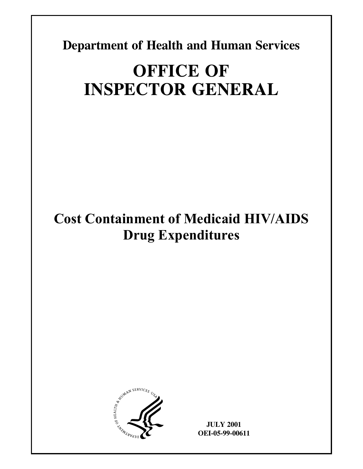**Department of Health and Human Services** 

# **OFFICE OF INSPECTOR GENERAL**

# **Cost Containment of Medicaid HIV/AIDS Drug Expenditures**



**JULY 2001 OEI-05-99-00611**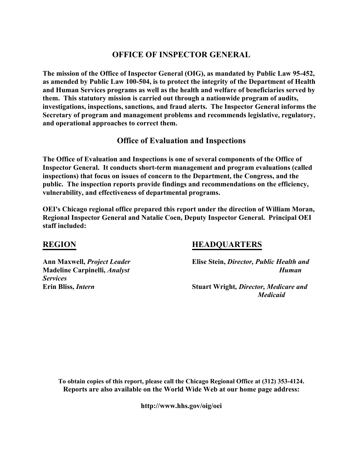## **OFFICE OF INSPECTOR GENERAL**

**The mission of the Office of Inspector General (OIG), as mandated by Public Law 95-452, as amended by Public Law 100-504, is to protect the integrity of the Department of Health and Human Services programs as well as the health and welfare of beneficiaries served by them. This statutory mission is carried out through a nationwide program of audits, investigations, inspections, sanctions, and fraud alerts. The Inspector General informs the Secretary of program and management problems and recommends legislative, regulatory, and operational approaches to correct them.** 

## **Office of Evaluation and Inspections**

**The Office of Evaluation and Inspections is one of several components of the Office of Inspector General. It conducts short-term management and program evaluations (called inspections) that focus on issues of concern to the Department, the Congress, and the public. The inspection reports provide findings and recommendations on the efficiency, vulnerability, and effectiveness of departmental programs.** 

**OEI's Chicago regional office prepared this report under the direction of William Moran, Regional Inspector General and Natalie Coen, Deputy Inspector General. Principal OEI staff included:** 

## **REGION**

## **HEADQUARTERS**

**Ann Maxwell,** *Project Leader* **Madeline Carpinelli,** *Analyst Services* **Erin Bliss,** *Intern*

**Elise Stein,** *Director, Public Health and Human* 

**Stuart Wright***, Director, Medicare and Medicaid* 

**To obtain copies of this report, please call the Chicago Regional Office at (312) 353-4124. Reports are also available on the World Wide Web at our home page address:** 

**http://www.hhs.gov/oig/oei**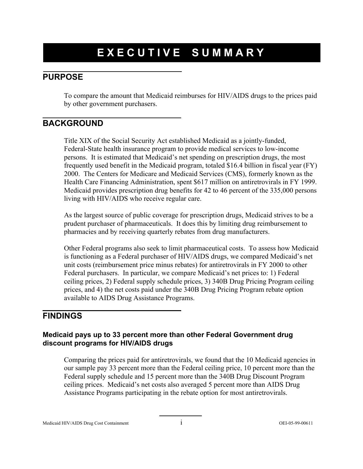# **EXECUTIVE SUMMARY**

## **PURPOSE**

To compare the amount that Medicaid reimburses for HIV/AIDS drugs to the prices paid by other government purchasers.

## **BACKGROUND**

Title XIX of the Social Security Act established Medicaid as a jointly-funded, Federal-State health insurance program to provide medical services to low-income persons. It is estimated that Medicaid's net spending on prescription drugs, the most frequently used benefit in the Medicaid program, totaled \$16.4 billion in fiscal year (FY) 2000. The Centers for Medicare and Medicaid Services (CMS), formerly known as the Health Care Financing Administration, spent \$617 million on antiretrovirals in FY 1999. Medicaid provides prescription drug benefits for 42 to 46 percent of the 335,000 persons living with HIV/AIDS who receive regular care.

As the largest source of public coverage for prescription drugs, Medicaid strives to be a prudent purchaser of pharmaceuticals. It does this by limiting drug reimbursement to pharmacies and by receiving quarterly rebates from drug manufacturers.

Other Federal programs also seek to limit pharmaceutical costs. To assess how Medicaid is functioning as a Federal purchaser of HIV/AIDS drugs, we compared Medicaid's net unit costs (reimbursement price minus rebates) for antiretrovirals in FY 2000 to other Federal purchasers. In particular, we compare Medicaid's net prices to: 1) Federal ceiling prices, 2) Federal supply schedule prices, 3) 340B Drug Pricing Program ceiling prices, and 4) the net costs paid under the 340B Drug Pricing Program rebate option available to AIDS Drug Assistance Programs.

## **FINDINGS**

## **Medicaid pays up to 33 percent more than other Federal Government drug discount programs for HIV/AIDS drugs**

Comparing the prices paid for antiretrovirals, we found that the 10 Medicaid agencies in our sample pay 33 percent more than the Federal ceiling price, 10 percent more than the Federal supply schedule and 15 percent more than the 340B Drug Discount Program ceiling prices. Medicaid's net costs also averaged 5 percent more than AIDS Drug Assistance Programs participating in the rebate option for most antiretrovirals.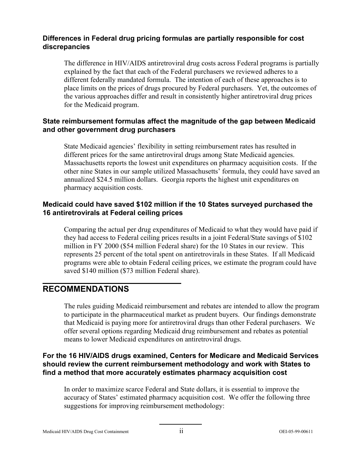## **Differences in Federal drug pricing formulas are partially responsible for cost discrepancies**

The difference in HIV/AIDS antiretroviral drug costs across Federal programs is partially explained by the fact that each of the Federal purchasers we reviewed adheres to a different federally mandated formula. The intention of each of these approaches is to place limits on the prices of drugs procured by Federal purchasers. Yet, the outcomes of the various approaches differ and result in consistently higher antiretroviral drug prices for the Medicaid program.

## **State reimbursement formulas affect the magnitude of the gap between Medicaid and other government drug purchasers**

State Medicaid agencies' flexibility in setting reimbursement rates has resulted in different prices for the same antiretroviral drugs among State Medicaid agencies. Massachusetts reports the lowest unit expenditures on pharmacy acquisition costs. If the other nine States in our sample utilized Massachusetts' formula, they could have saved an annualized \$24.5 million dollars. Georgia reports the highest unit expenditures on pharmacy acquisition costs.

## **Medicaid could have saved \$102 million if the 10 States surveyed purchased the 16 antiretrovirals at Federal ceiling prices**

Comparing the actual per drug expenditures of Medicaid to what they would have paid if they had access to Federal ceiling prices results in a joint Federal/State savings of \$102 million in FY 2000 (\$54 million Federal share) for the 10 States in our review. This represents 25 percent of the total spent on antiretrovirals in these States. If all Medicaid programs were able to obtain Federal ceiling prices, we estimate the program could have saved \$140 million (\$73 million Federal share).

## **RECOMMENDATIONS**

The rules guiding Medicaid reimbursement and rebates are intended to allow the program to participate in the pharmaceutical market as prudent buyers. Our findings demonstrate that Medicaid is paying more for antiretroviral drugs than other Federal purchasers. We offer several options regarding Medicaid drug reimbursement and rebates as potential means to lower Medicaid expenditures on antiretroviral drugs.

## **For the 16 HIV/AIDS drugs examined, Centers for Medicare and Medicaid Services should review the current reimbursement methodology and work with States to find a method that more accurately estimates pharmacy acquisition cost**

In order to maximize scarce Federal and State dollars, it is essential to improve the accuracy of States' estimated pharmacy acquisition cost. We offer the following three suggestions for improving reimbursement methodology: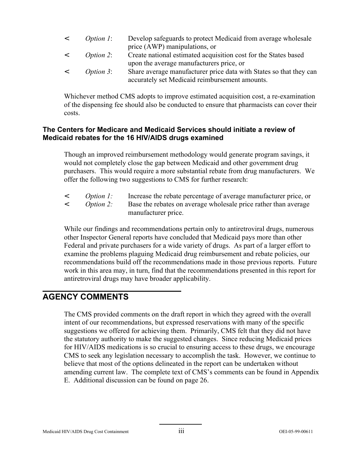| $\epsilon$ | <i>Option 1:</i> | Develop safeguards to protect Medicaid from average wholesale      |
|------------|------------------|--------------------------------------------------------------------|
|            |                  | price (AWP) manipulations, or                                      |
| $\prec$    | <i>Option 2:</i> | Create national estimated acquisition cost for the States based    |
|            |                  | upon the average manufacturers price, or                           |
| $\prec$    | <i>Option 3:</i> | Share average manufacturer price data with States so that they can |
|            |                  | accurately set Medicaid reimbursement amounts.                     |

Whichever method CMS adopts to improve estimated acquisition cost, a re-examination of the dispensing fee should also be conducted to ensure that pharmacists can cover their costs.

## **The Centers for Medicare and Medicaid Services should initiate a review of Medicaid rebates for the 16 HIV/AIDS drugs examined**

Though an improved reimbursement methodology would generate program savings, it would not completely close the gap between Medicaid and other government drug purchasers. This would require a more substantial rebate from drug manufacturers. We offer the following two suggestions to CMS for further research:

- < *Option 1:* Increase the rebate percentage of average manufacturer price, or
- < *Option 2:* Base the rebates on average wholesale price rather than average manufacturer price.

While our findings and recommendations pertain only to antiretroviral drugs, numerous other Inspector General reports have concluded that Medicaid pays more than other Federal and private purchasers for a wide variety of drugs. As part of a larger effort to examine the problems plaguing Medicaid drug reimbursement and rebate policies, our recommendations build off the recommendations made in those previous reports. Future work in this area may, in turn, find that the recommendations presented in this report for antiretroviral drugs may have broader applicability.

## **AGENCY COMMENTS**

The CMS provided comments on the draft report in which they agreed with the overall intent of our recommendations, but expressed reservations with many of the specific suggestions we offered for achieving them. Primarily, CMS felt that they did not have the statutory authority to make the suggested changes. Since reducing Medicaid prices for HIV/AIDS medications is so crucial to ensuring access to these drugs, we encourage CMS to seek any legislation necessary to accomplish the task. However, we continue to believe that most of the options delineated in the report can be undertaken without amending current law. The complete text of CMS's comments can be found in Appendix E. Additional discussion can be found on page 26.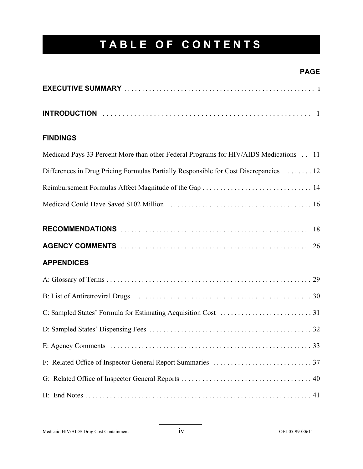# **TABLE OF CONTENTS**

## **PAGE**

## **FINDINGS**

| Medicaid Pays 33 Percent More than other Federal Programs for HIV/AIDS Medications 11 |
|---------------------------------------------------------------------------------------|
| Differences in Drug Pricing Formulas Partially Responsible for Cost Discrepancies  12 |
|                                                                                       |
|                                                                                       |
|                                                                                       |
|                                                                                       |
| <b>APPENDICES</b>                                                                     |
|                                                                                       |
|                                                                                       |
|                                                                                       |
|                                                                                       |
|                                                                                       |
|                                                                                       |
|                                                                                       |
|                                                                                       |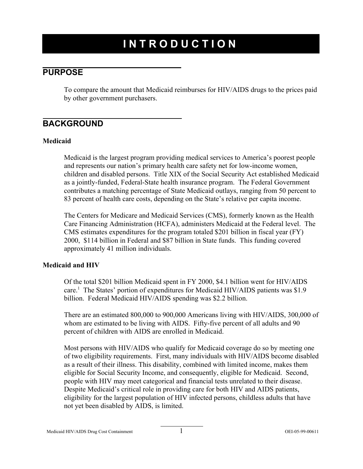# **INTRODUCTION**

## **PURPOSE**

To compare the amount that Medicaid reimburses for HIV/AIDS drugs to the prices paid by other government purchasers.

## **BACKGROUND**

### **Medicaid**

Medicaid is the largest program providing medical services to America's poorest people and represents our nation's primary health care safety net for low-income women, children and disabled persons. Title XIX of the Social Security Act established Medicaid as a jointly-funded, Federal-State health insurance program. The Federal Government contributes a matching percentage of State Medicaid outlays, ranging from 50 percent to 83 percent of health care costs, depending on the State's relative per capita income.

The Centers for Medicare and Medicaid Services (CMS), formerly known as the Health Care Financing Administration (HCFA), administers Medicaid at the Federal level. The CMS estimates expenditures for the program totaled \$201 billion in fiscal year (FY) 2000, \$114 billion in Federal and \$87 billion in State funds. This funding covered approximately 41 million individuals.

## **Medicaid and HIV**

Of the total \$201 billion Medicaid spent in FY 2000, \$4.1 billion went for HIV/AIDS care.<sup>1</sup> The States' portion of expenditures for Medicaid HIV/AIDS patients was \$1.9 billion. Federal Medicaid HIV/AIDS spending was \$2.2 billion.

There are an estimated 800,000 to 900,000 Americans living with HIV/AIDS, 300,000 of whom are estimated to be living with AIDS. Fifty-five percent of all adults and 90 percent of children with AIDS are enrolled in Medicaid.

Most persons with HIV/AIDS who qualify for Medicaid coverage do so by meeting one of two eligibility requirements. First, many individuals with HIV/AIDS become disabled as a result of their illness. This disability, combined with limited income, makes them eligible for Social Security Income, and consequently, eligible for Medicaid. Second, people with HIV may meet categorical and financial tests unrelated to their disease. Despite Medicaid's critical role in providing care for both HIV and AIDS patients, eligibility for the largest population of HIV infected persons, childless adults that have not yet been disabled by AIDS, is limited.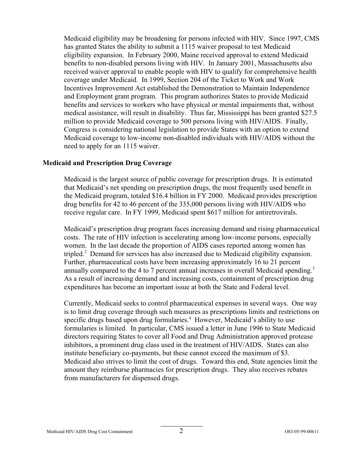Medicaid eligibility may be broadening for persons infected with HIV. Since 1997, CMS has granted States the ability to submit a 1115 waiver proposal to test Medicaid eligibility expansion. In February 2000, Maine received approval to extend Medicaid benefits to non-disabled persons living with HIV. In January 2001, Massachusetts also received waiver approval to enable people with HIV to qualify for comprehensive health coverage under Medicaid. In 1999, Section 204 of the Ticket to Work and Work Incentives Improvement Act established the Demonstration to Maintain Independence and Employment grant program. This program authorizes States to provide Medicaid benefits and services to workers who have physical or mental impairments that, without medical assistance, will result in disability. Thus far, Mississippi has been granted \$27.5 million to provide Medicaid coverage to 500 persons living with HIV/AIDS. Finally, Congress is considering national legislation to provide States with an option to extend Medicaid coverage to low-income non-disabled individuals with HIV/AIDS without the need to apply for an 1115 waiver.

#### **Medicaid and Prescription Drug Coverage**

Medicaid is the largest source of public coverage for prescription drugs. It is estimated that Medicaid's net spending on prescription drugs, the most frequently used benefit in the Medicaid program, totaled \$16.4 billion in FY 2000. Medicaid provides prescription drug benefits for 42 to 46 percent of the 335,000 persons living with HIV/AIDS who receive regular care. In FY 1999, Medicaid spent \$617 million for antiretrovirals.

Medicaid's prescription drug program faces increasing demand and rising pharmaceutical costs. The rate of HIV infection is accelerating among low-income persons, especially women. In the last decade the proportion of AIDS cases reported among women has tripled.2 Demand for services has also increased due to Medicaid eligibility expansion. Further, pharmaceutical costs have been increasing approximately 16 to 21 percent annually compared to the 4 to 7 percent annual increases in overall Medicaid spending.<sup>3</sup> As a result of increasing demand and increasing costs, containment of prescription drug expenditures has become an important issue at both the State and Federal level.

Currently, Medicaid seeks to control pharmaceutical expenses in several ways. One way is to limit drug coverage through such measures as prescriptions limits and restrictions on specific drugs based upon drug formularies.<sup>4</sup> However, Medicaid's ability to use formularies is limited. In particular, CMS issued a letter in June 1996 to State Medicaid directors requiring States to cover all Food and Drug Administration approved protease inhibitors, a prominent drug class used in the treatment of HIV/AIDS. States can also institute beneficiary co-payments, but these cannot exceed the maximum of \$3. Medicaid also strives to limit the cost of drugs. Toward this end, State agencies limit the amount they reimburse pharmacies for prescription drugs. They also receives rebates from manufacturers for dispensed drugs.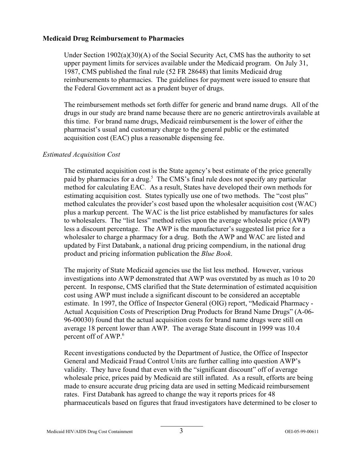#### **Medicaid Drug Reimbursement to Pharmacies**

Under Section 1902(a)(30)(A) of the Social Security Act, CMS has the authority to set upper payment limits for services available under the Medicaid program. On July 31, 1987, CMS published the final rule (52 FR 28648) that limits Medicaid drug reimbursements to pharmacies. The guidelines for payment were issued to ensure that the Federal Government act as a prudent buyer of drugs.

The reimbursement methods set forth differ for generic and brand name drugs. All of the drugs in our study are brand name because there are no generic antiretrovirals available at this time. For brand name drugs, Medicaid reimbursement is the lower of either the pharmacist's usual and customary charge to the general public or the estimated acquisition cost (EAC) plus a reasonable dispensing fee.

### *Estimated Acquisition Cost*

The estimated acquisition cost is the State agency's best estimate of the price generally paid by pharmacies for a drug.<sup>5</sup> The CMS's final rule does not specify any particular method for calculating EAC. As a result, States have developed their own methods for estimating acquisition cost. States typically use one of two methods. The "cost plus" method calculates the provider's cost based upon the wholesaler acquisition cost (WAC) plus a markup percent. The WAC is the list price established by manufactures for sales to wholesalers. The "list less" method relies upon the average wholesale price (AWP) less a discount percentage. The AWP is the manufacturer's suggested list price for a wholesaler to charge a pharmacy for a drug. Both the AWP and WAC are listed and updated by First Databank, a national drug pricing compendium, in the national drug product and pricing information publication the *Blue Book*.

The majority of State Medicaid agencies use the list less method. However, various investigations into AWP demonstrated that AWP was overstated by as much as 10 to 20 percent. In response, CMS clarified that the State determination of estimated acquisition cost using AWP must include a significant discount to be considered an acceptable estimate. In 1997, the Office of Inspector General (OIG) report, "Medicaid Pharmacy - Actual Acquisition Costs of Prescription Drug Products for Brand Name Drugs" (A-06- 96-00030) found that the actual acquisition costs for brand name drugs were still on average 18 percent lower than AWP. The average State discount in 1999 was 10.4 percent off of AWP.<sup>6</sup>

Recent investigations conducted by the Department of Justice, the Office of Inspector General and Medicaid Fraud Control Units are further calling into question AWP's validity. They have found that even with the "significant discount" off of average wholesale price, prices paid by Medicaid are still inflated. As a result, efforts are being made to ensure accurate drug pricing data are used in setting Medicaid reimbursement rates. First Databank has agreed to change the way it reports prices for 48 pharmaceuticals based on figures that fraud investigators have determined to be closer to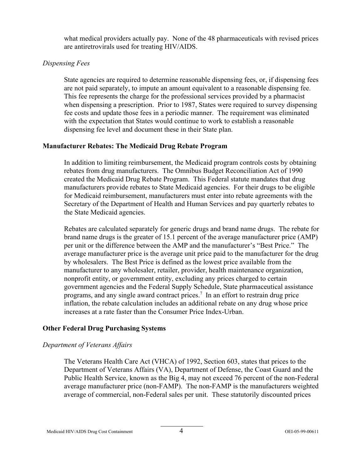what medical providers actually pay. None of the 48 pharmaceuticals with revised prices are antiretrovirals used for treating HIV/AIDS.

### *Dispensing Fees*

State agencies are required to determine reasonable dispensing fees, or, if dispensing fees are not paid separately, to impute an amount equivalent to a reasonable dispensing fee. This fee represents the charge for the professional services provided by a pharmacist when dispensing a prescription. Prior to 1987, States were required to survey dispensing fee costs and update those fees in a periodic manner. The requirement was eliminated with the expectation that States would continue to work to establish a reasonable dispensing fee level and document these in their State plan.

### **Manufacturer Rebates: The Medicaid Drug Rebate Program**

In addition to limiting reimbursement, the Medicaid program controls costs by obtaining rebates from drug manufacturers. The Omnibus Budget Reconciliation Act of 1990 created the Medicaid Drug Rebate Program. This Federal statute mandates that drug manufacturers provide rebates to State Medicaid agencies. For their drugs to be eligible for Medicaid reimbursement, manufacturers must enter into rebate agreements with the Secretary of the Department of Health and Human Services and pay quarterly rebates to the State Medicaid agencies.

Rebates are calculated separately for generic drugs and brand name drugs. The rebate for brand name drugs is the greater of 15.1 percent of the average manufacturer price (AMP) per unit or the difference between the AMP and the manufacturer's "Best Price." The average manufacturer price is the average unit price paid to the manufacturer for the drug by wholesalers. The Best Price is defined as the lowest price available from the manufacturer to any wholesaler, retailer, provider, health maintenance organization, nonprofit entity, or government entity, excluding any prices charged to certain government agencies and the Federal Supply Schedule, State pharmaceutical assistance programs, and any single award contract prices.7 In an effort to restrain drug price inflation, the rebate calculation includes an additional rebate on any drug whose price increases at a rate faster than the Consumer Price Index-Urban.

### **Other Federal Drug Purchasing Systems**

### *Department of Veterans Affairs*

The Veterans Health Care Act (VHCA) of 1992, Section 603, states that prices to the Department of Veterans Affairs (VA), Department of Defense, the Coast Guard and the Public Health Service, known as the Big 4, may not exceed 76 percent of the non-Federal average manufacturer price (non-FAMP). The non-FAMP is the manufacturers weighted average of commercial, non-Federal sales per unit. These statutorily discounted prices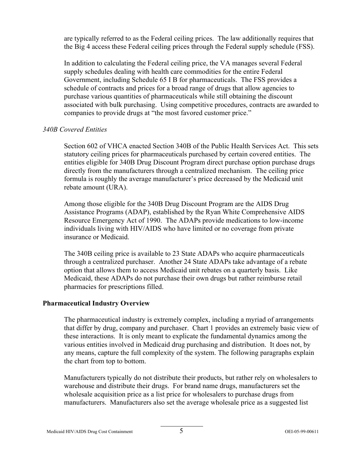are typically referred to as the Federal ceiling prices. The law additionally requires that the Big 4 access these Federal ceiling prices through the Federal supply schedule (FSS).

In addition to calculating the Federal ceiling price, the VA manages several Federal supply schedules dealing with health care commodities for the entire Federal Government, including Schedule 65 I B for pharmaceuticals. The FSS provides a schedule of contracts and prices for a broad range of drugs that allow agencies to purchase various quantities of pharmaceuticals while still obtaining the discount associated with bulk purchasing. Using competitive procedures, contracts are awarded to companies to provide drugs at "the most favored customer price."

### *340B Covered Entities*

Section 602 of VHCA enacted Section 340B of the Public Health Services Act. This sets statutory ceiling prices for pharmaceuticals purchased by certain covered entities. The entities eligible for 340B Drug Discount Program direct purchase option purchase drugs directly from the manufacturers through a centralized mechanism. The ceiling price formula is roughly the average manufacturer's price decreased by the Medicaid unit rebate amount (URA).

Among those eligible for the 340B Drug Discount Program are the AIDS Drug Assistance Programs (ADAP), established by the Ryan White Comprehensive AIDS Resource Emergency Act of 1990. The ADAPs provide medications to low-income individuals living with HIV/AIDS who have limited or no coverage from private insurance or Medicaid.

The 340B ceiling price is available to 23 State ADAPs who acquire pharmaceuticals through a centralized purchaser. Another 24 State ADAPs take advantage of a rebate option that allows them to access Medicaid unit rebates on a quarterly basis. Like Medicaid, these ADAPs do not purchase their own drugs but rather reimburse retail pharmacies for prescriptions filled.

### **Pharmaceutical Industry Overview**

The pharmaceutical industry is extremely complex, including a myriad of arrangements that differ by drug, company and purchaser. Chart 1 provides an extremely basic view of these interactions. It is only meant to explicate the fundamental dynamics among the various entities involved in Medicaid drug purchasing and distribution. It does not, by any means, capture the full complexity of the system. The following paragraphs explain the chart from top to bottom.

Manufacturers typically do not distribute their products, but rather rely on wholesalers to warehouse and distribute their drugs. For brand name drugs, manufacturers set the wholesale acquisition price as a list price for wholesalers to purchase drugs from manufacturers. Manufacturers also set the average wholesale price as a suggested list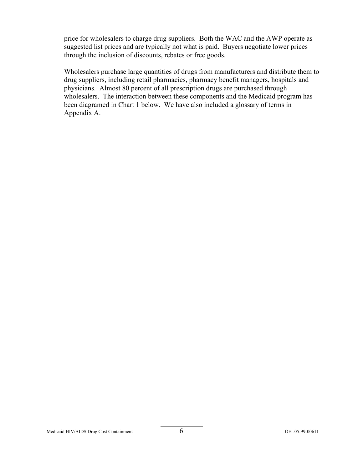price for wholesalers to charge drug suppliers. Both the WAC and the AWP operate as suggested list prices and are typically not what is paid. Buyers negotiate lower prices through the inclusion of discounts, rebates or free goods.

Wholesalers purchase large quantities of drugs from manufacturers and distribute them to drug suppliers, including retail pharmacies, pharmacy benefit managers, hospitals and physicians. Almost 80 percent of all prescription drugs are purchased through wholesalers. The interaction between these components and the Medicaid program has been diagramed in Chart 1 below. We have also included a glossary of terms in Appendix A.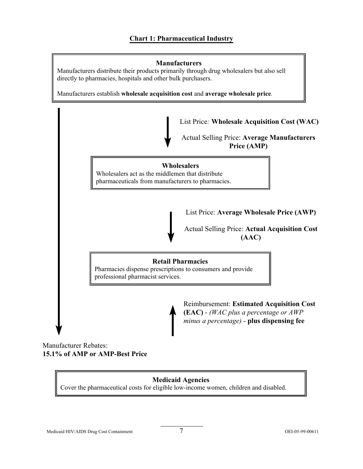

Manufacturer Rebates: **15.1% of AMP or AMP-Best Price** 

## **Medicaid Agencies**

Cover the pharmaceutical costs for eligible low-income women, children and disabled.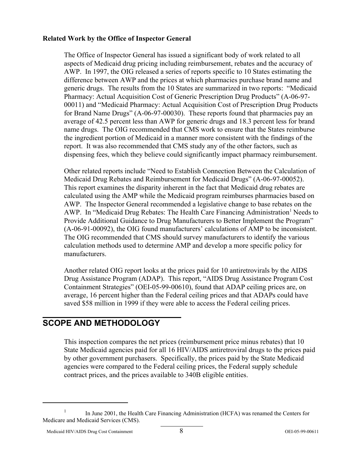### **Related Work by the Office of Inspector General**

The Office of Inspector General has issued a significant body of work related to all aspects of Medicaid drug pricing including reimbursement, rebates and the accuracy of AWP. In 1997, the OIG released a series of reports specific to 10 States estimating the difference between AWP and the prices at which pharmacies purchase brand name and generic drugs. The results from the 10 States are summarized in two reports: "Medicaid Pharmacy: Actual Acquisition Cost of Generic Prescription Drug Products" (A-06-97- 00011) and "Medicaid Pharmacy: Actual Acquisition Cost of Prescription Drug Products for Brand Name Drugs" (A-06-97-00030). These reports found that pharmacies pay an average of 42.5 percent less than AWP for generic drugs and 18.3 percent less for brand name drugs. The OIG recommended that CMS work to ensure that the States reimburse the ingredient portion of Medicaid in a manner more consistent with the findings of the report. It was also recommended that CMS study any of the other factors, such as dispensing fees, which they believe could significantly impact pharmacy reimbursement.

Other related reports include "Need to Establish Connection Between the Calculation of Medicaid Drug Rebates and Reimbursement for Medicaid Drugs" (A-06-97-00052). This report examines the disparity inherent in the fact that Medicaid drug rebates are calculated using the AMP while the Medicaid program reimburses pharmacies based on AWP. The Inspector General recommended a legislative change to base rebates on the AWP. In "Medicaid Drug Rebates: The Health Care Financing Administration<sup>1</sup> Needs to Provide Additional Guidance to Drug Manufacturers to Better Implement the Program" (A-06-91-00092), the OIG found manufacturers' calculations of AMP to be inconsistent. The OIG recommended that CMS should survey manufacturers to identify the various calculation methods used to determine AMP and develop a more specific policy for manufacturers.

Another related OIG report looks at the prices paid for 10 antiretrovirals by the AIDS Drug Assistance Program (ADAP). This report, "AIDS Drug Assistance Program Cost Containment Strategies" (OEI-05-99-00610), found that ADAP ceiling prices are, on average, 16 percent higher than the Federal ceiling prices and that ADAPs could have saved \$58 million in 1999 if they were able to access the Federal ceiling prices.

## **SCOPE AND METHODOLOGY**

This inspection compares the net prices (reimbursement price minus rebates) that 10 State Medicaid agencies paid for all 16 HIV/AIDS antiretroviral drugs to the prices paid by other government purchasers. Specifically, the prices paid by the State Medicaid agencies were compared to the Federal ceiling prices, the Federal supply schedule contract prices, and the prices available to 340B eligible entities.

<sup>&</sup>lt;sup>1</sup> In June 2001, the Health Care Financing Administration (HCFA) was renamed the Centers for Medicare and Medicaid Services (CMS).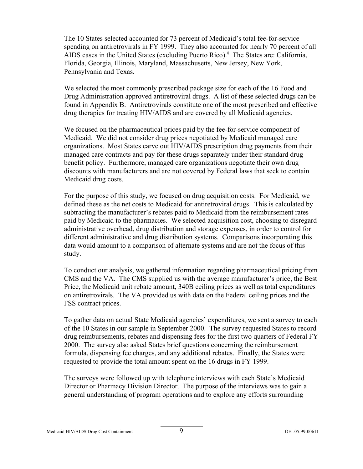The 10 States selected accounted for 73 percent of Medicaid's total fee-for-service spending on antiretrovirals in FY 1999. They also accounted for nearly 70 percent of all AIDS cases in the United States (excluding Puerto Rico).<sup>8</sup> The States are: California, Florida, Georgia, Illinois, Maryland, Massachusetts, New Jersey, New York, Pennsylvania and Texas.

We selected the most commonly prescribed package size for each of the 16 Food and Drug Administration approved antiretroviral drugs. A list of these selected drugs can be found in Appendix B. Antiretrovirals constitute one of the most prescribed and effective drug therapies for treating HIV/AIDS and are covered by all Medicaid agencies.

We focused on the pharmaceutical prices paid by the fee-for-service component of Medicaid. We did not consider drug prices negotiated by Medicaid managed care organizations. Most States carve out HIV/AIDS prescription drug payments from their managed care contracts and pay for these drugs separately under their standard drug benefit policy. Furthermore, managed care organizations negotiate their own drug discounts with manufacturers and are not covered by Federal laws that seek to contain Medicaid drug costs.

For the purpose of this study, we focused on drug acquisition costs. For Medicaid, we defined these as the net costs to Medicaid for antiretroviral drugs. This is calculated by subtracting the manufacturer's rebates paid to Medicaid from the reimbursement rates paid by Medicaid to the pharmacies. We selected acquisition cost, choosing to disregard administrative overhead, drug distribution and storage expenses, in order to control for different administrative and drug distribution systems. Comparisons incorporating this data would amount to a comparison of alternate systems and are not the focus of this study.

To conduct our analysis, we gathered information regarding pharmaceutical pricing from CMS and the VA. The CMS supplied us with the average manufacturer's price, the Best Price, the Medicaid unit rebate amount, 340B ceiling prices as well as total expenditures on antiretrovirals. The VA provided us with data on the Federal ceiling prices and the FSS contract prices.

To gather data on actual State Medicaid agencies' expenditures, we sent a survey to each of the 10 States in our sample in September 2000. The survey requested States to record drug reimbursements, rebates and dispensing fees for the first two quarters of Federal FY 2000. The survey also asked States brief questions concerning the reimbursement formula, dispensing fee charges, and any additional rebates. Finally, the States were requested to provide the total amount spent on the 16 drugs in FY 1999.

The surveys were followed up with telephone interviews with each State's Medicaid Director or Pharmacy Division Director. The purpose of the interviews was to gain a general understanding of program operations and to explore any efforts surrounding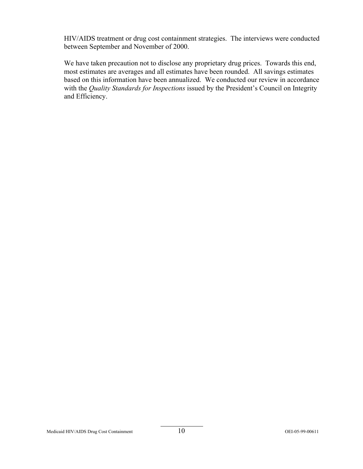HIV/AIDS treatment or drug cost containment strategies. The interviews were conducted between September and November of 2000.

We have taken precaution not to disclose any proprietary drug prices. Towards this end, most estimates are averages and all estimates have been rounded. All savings estimates based on this information have been annualized. We conducted our review in accordance with the *Quality Standards for Inspections* issued by the President's Council on Integrity and Efficiency.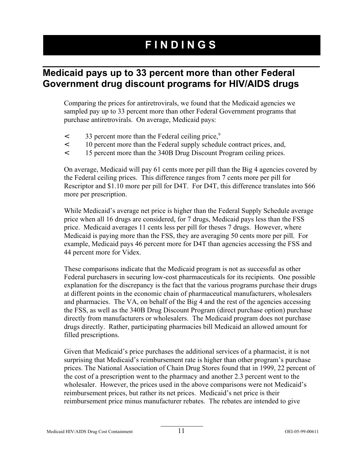# **FINDINGS**

## **Medicaid pays up to 33 percent more than other Federal Government drug discount programs for HIV/AIDS drugs**

Comparing the prices for antiretrovirals, we found that the Medicaid agencies we sampled pay up to 33 percent more than other Federal Government programs that purchase antiretrovirals. On average, Medicaid pays:

- $\leq$  33 percent more than the Federal ceiling price,<sup>9</sup>
- < 10 percent more than the Federal supply schedule contract prices, and,
- < 15 percent more than the 340B Drug Discount Program ceiling prices.

On average, Medicaid will pay 61 cents more per pill than the Big 4 agencies covered by the Federal ceiling prices. This difference ranges from 7 cents more per pill for Rescriptor and \$1.10 more per pill for D4T. For D4T, this difference translates into \$66 more per prescription.

While Medicaid's average net price is higher than the Federal Supply Schedule average price when all 16 drugs are considered, for 7 drugs, Medicaid pays less than the FSS price. Medicaid averages 11 cents less per pill for theses 7 drugs. However, where Medicaid is paying more than the FSS, they are averaging 50 cents more per pill. For example, Medicaid pays 46 percent more for D4T than agencies accessing the FSS and 44 percent more for Videx.

These comparisons indicate that the Medicaid program is not as successful as other Federal purchasers in securing low-cost pharmaceuticals for its recipients. One possible explanation for the discrepancy is the fact that the various programs purchase their drugs at different points in the economic chain of pharmaceutical manufacturers, wholesalers and pharmacies. The VA, on behalf of the Big 4 and the rest of the agencies accessing the FSS, as well as the 340B Drug Discount Program (direct purchase option) purchase directly from manufacturers or wholesalers. The Medicaid program does not purchase drugs directly. Rather, participating pharmacies bill Medicaid an allowed amount for filled prescriptions.

Given that Medicaid's price purchases the additional services of a pharmacist, it is not surprising that Medicaid's reimbursement rate is higher than other program's purchase prices. The National Association of Chain Drug Stores found that in 1999, 22 percent of the cost of a prescription went to the pharmacy and another 2.3 percent went to the wholesaler. However, the prices used in the above comparisons were not Medicaid's reimbursement prices, but rather its net prices. Medicaid's net price is their reimbursement price minus manufacturer rebates. The rebates are intended to give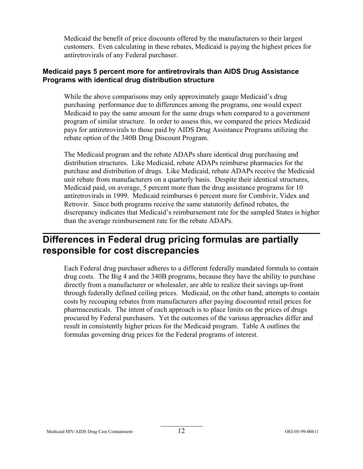Medicaid the benefit of price discounts offered by the manufacturers to their largest customers. Even calculating in these rebates, Medicaid is paying the highest prices for antiretrovirals of any Federal purchaser.

## **Medicaid pays 5 percent more for antiretrovirals than AIDS Drug Assistance Programs with identical drug distribution structure**

While the above comparisons may only approximately gauge Medicaid's drug purchasing performance due to differences among the programs, one would expect Medicaid to pay the same amount for the same drugs when compared to a government program of similar structure. In order to assess this, we compared the prices Medicaid pays for antiretrovirals to those paid by AIDS Drug Assistance Programs utilizing the rebate option of the 340B Drug Discount Program.

The Medicaid program and the rebate ADAPs share identical drug purchasing and distribution structures. Like Medicaid, rebate ADAPs reimburse pharmacies for the purchase and distribution of drugs. Like Medicaid, rebate ADAPs receive the Medicaid unit rebate from manufacturers on a quarterly basis. Despite their identical structures, Medicaid paid, on average, 5 percent more than the drug assistance programs for 10 antiretrovirals in 1999. Medicaid reimburses 6 percent more for Combivir, Videx and Retrovir. Since both programs receive the same statutorily defined rebates, the discrepancy indicates that Medicaid's reimbursement rate for the sampled States is higher than the average reimbursement rate for the rebate ADAPs.

## **Differences in Federal drug pricing formulas are partially responsible for cost discrepancies**

Each Federal drug purchaser adheres to a different federally mandated formula to contain drug costs. The Big 4 and the 340B programs, because they have the ability to purchase directly from a manufacturer or wholesaler, are able to realize their savings up-front through federally defined ceiling prices. Medicaid, on the other hand, attempts to contain costs by recouping rebates from manufacturers after paying discounted retail prices for pharmaceuticals. The intent of each approach is to place limits on the prices of drugs procured by Federal purchasers. Yet the outcomes of the various approaches differ and result in consistently higher prices for the Medicaid program. Table A outlines the formulas governing drug prices for the Federal programs of interest.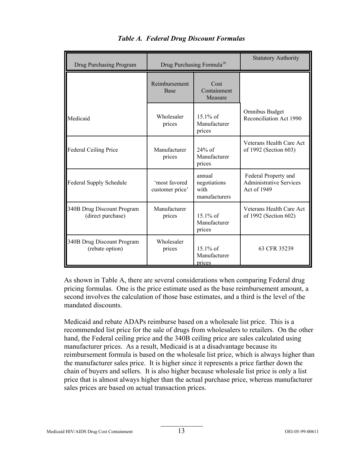| Drug Purchasing Program                         | Drug Purchasing Formula <sup>10</sup> |                                                 | <b>Statutory Authority</b>                                            |
|-------------------------------------------------|---------------------------------------|-------------------------------------------------|-----------------------------------------------------------------------|
|                                                 | Reimbursement<br><b>Base</b>          | Cost<br>Containment<br>Measure                  |                                                                       |
| Medicaid                                        | Wholesaler<br>prices                  | $15.1\%$ of<br>Manufacturer<br>prices           | Omnibus Budget<br>Reconciliation Act 1990                             |
| <b>Federal Ceiling Price</b>                    | Manufacturer<br>prices                | $24\%$ of<br>Manufacturer<br>prices             | Veterans Health Care Act<br>of 1992 (Section 603)                     |
| Federal Supply Schedule                         | 'most favored<br>customer price'      | annual<br>negotiations<br>with<br>manufacturers | Federal Property and<br><b>Administrative Services</b><br>Act of 1949 |
| 340B Drug Discount Program<br>(direct purchase) | Manufacturer<br>prices                | $15.1\%$ of<br>Manufacturer<br>prices           | Veterans Health Care Act<br>of 1992 (Section 602)                     |
| 340B Drug Discount Program<br>(rebate option)   | Wholesaler<br>prices                  | $15.1\%$ of<br>Manufacturer<br>prices           | 63 CFR 35239                                                          |

|  |  | <b>Table A. Federal Drug Discount Formulas</b> |  |
|--|--|------------------------------------------------|--|
|--|--|------------------------------------------------|--|

As shown in Table A, there are several considerations when comparing Federal drug pricing formulas. One is the price estimate used as the base reimbursement amount, a second involves the calculation of those base estimates, and a third is the level of the mandated discounts.

Medicaid and rebate ADAPs reimburse based on a wholesale list price. This is a recommended list price for the sale of drugs from wholesalers to retailers. On the other hand, the Federal ceiling price and the 340B ceiling price are sales calculated using manufacturer prices. As a result, Medicaid is at a disadvantage because its reimbursement formula is based on the wholesale list price, which is always higher than the manufacturer sales price. It is higher since it represents a price farther down the chain of buyers and sellers. It is also higher because wholesale list price is only a list price that is almost always higher than the actual purchase price, whereas manufacturer sales prices are based on actual transaction prices.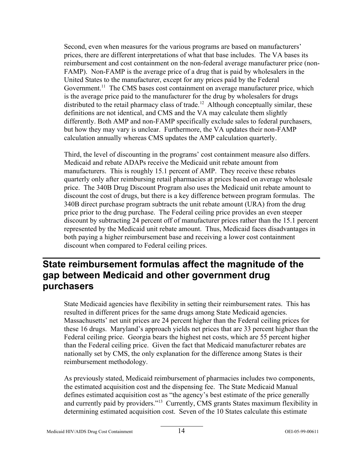Second, even when measures for the various programs are based on manufacturers' prices, there are different interpretations of what that base includes. The VA bases its reimbursement and cost containment on the non-federal average manufacturer price (non-FAMP). Non-FAMP is the average price of a drug that is paid by wholesalers in the United States to the manufacturer, except for any prices paid by the Federal Government.<sup>11</sup> The CMS bases cost containment on average manufacturer price, which is the average price paid to the manufacturer for the drug by wholesalers for drugs distributed to the retail pharmacy class of trade.<sup>12</sup> Although conceptually similar, these definitions are not identical, and CMS and the VA may calculate them slightly differently. Both AMP and non-FAMP specifically exclude sales to federal purchasers, but how they may vary is unclear. Furthermore, the VA updates their non-FAMP calculation annually whereas CMS updates the AMP calculation quarterly.

Third, the level of discounting in the programs' cost containment measure also differs. Medicaid and rebate ADAPs receive the Medicaid unit rebate amount from manufacturers. This is roughly 15.1 percent of AMP. They receive these rebates quarterly only after reimbursing retail pharmacies at prices based on average wholesale price. The 340B Drug Discount Program also uses the Medicaid unit rebate amount to discount the cost of drugs, but there is a key difference between program formulas. The 340B direct purchase program subtracts the unit rebate amount (URA) from the drug price prior to the drug purchase. The Federal ceiling price provides an even steeper discount by subtracting 24 percent off of manufacturer prices rather than the 15.1 percent represented by the Medicaid unit rebate amount. Thus, Medicaid faces disadvantages in both paying a higher reimbursement base and receiving a lower cost containment discount when compared to Federal ceiling prices.

## **State reimbursement formulas affect the magnitude of the gap between Medicaid and other government drug purchasers**

State Medicaid agencies have flexibility in setting their reimbursement rates. This has resulted in different prices for the same drugs among State Medicaid agencies. Massachusetts' net unit prices are 24 percent higher than the Federal ceiling prices for these 16 drugs. Maryland's approach yields net prices that are 33 percent higher than the Federal ceiling price. Georgia bears the highest net costs, which are 55 percent higher than the Federal ceiling price. Given the fact that Medicaid manufacturer rebates are nationally set by CMS, the only explanation for the difference among States is their reimbursement methodology.

As previously stated, Medicaid reimbursement of pharmacies includes two components, the estimated acquisition cost and the dispensing fee. The State Medicaid Manual defines estimated acquisition cost as "the agency's best estimate of the price generally and currently paid by providers."<sup>13</sup> Currently, CMS grants States maximum flexibility in determining estimated acquisition cost. Seven of the 10 States calculate this estimate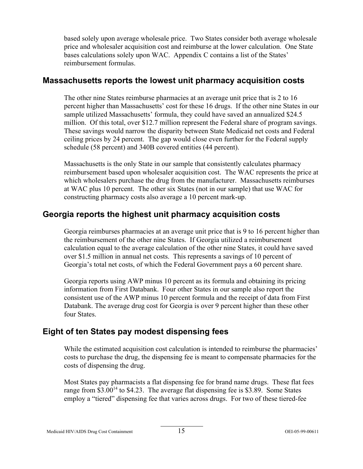based solely upon average wholesale price. Two States consider both average wholesale price and wholesaler acquisition cost and reimburse at the lower calculation. One State bases calculations solely upon WAC. Appendix C contains a list of the States' reimbursement formulas.

## **Massachusetts reports the lowest unit pharmacy acquisition costs**

The other nine States reimburse pharmacies at an average unit price that is 2 to 16 percent higher than Massachusetts' cost for these 16 drugs. If the other nine States in our sample utilized Massachusetts' formula, they could have saved an annualized \$24.5 million. Of this total, over \$12.7 million represent the Federal share of program savings. These savings would narrow the disparity between State Medicaid net costs and Federal ceiling prices by 24 percent. The gap would close even further for the Federal supply schedule (58 percent) and 340B covered entities (44 percent).

Massachusetts is the only State in our sample that consistently calculates pharmacy reimbursement based upon wholesaler acquisition cost. The WAC represents the price at which wholesalers purchase the drug from the manufacturer. Massachusetts reimburses at WAC plus 10 percent. The other six States (not in our sample) that use WAC for constructing pharmacy costs also average a 10 percent mark-up.

## **Georgia reports the highest unit pharmacy acquisition costs**

Georgia reimburses pharmacies at an average unit price that is 9 to 16 percent higher than the reimbursement of the other nine States. If Georgia utilized a reimbursement calculation equal to the average calculation of the other nine States, it could have saved over \$1.5 million in annual net costs. This represents a savings of 10 percent of Georgia's total net costs, of which the Federal Government pays a 60 percent share.

Georgia reports using AWP minus 10 percent as its formula and obtaining its pricing information from First Databank. Four other States in our sample also report the consistent use of the AWP minus 10 percent formula and the receipt of data from First Databank. The average drug cost for Georgia is over 9 percent higher than these other four States.

## **Eight of ten States pay modest dispensing fees**

While the estimated acquisition cost calculation is intended to reimburse the pharmacies' costs to purchase the drug, the dispensing fee is meant to compensate pharmacies for the costs of dispensing the drug.

Most States pay pharmacists a flat dispensing fee for brand name drugs. These flat fees range from  $$3.00<sup>14</sup>$  to  $$4.23$ . The average flat dispensing fee is \$3.89. Some States employ a "tiered" dispensing fee that varies across drugs. For two of these tiered-fee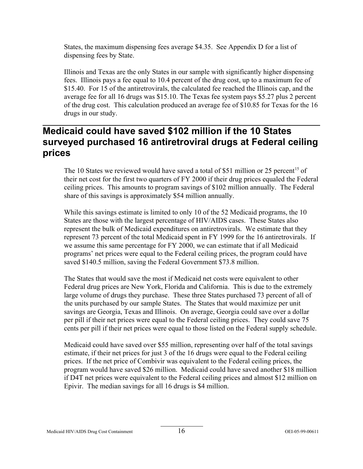States, the maximum dispensing fees average \$4.35. See Appendix D for a list of dispensing fees by State.

Illinois and Texas are the only States in our sample with significantly higher dispensing fees. Illinois pays a fee equal to 10.4 percent of the drug cost, up to a maximum fee of \$15.40. For 15 of the antiretrovirals, the calculated fee reached the Illinois cap, and the average fee for all 16 drugs was \$15.10. The Texas fee system pays \$5.27 plus 2 percent of the drug cost. This calculation produced an average fee of \$10.85 for Texas for the 16 drugs in our study.

## **Medicaid could have saved \$102 million if the 10 States surveyed purchased 16 antiretroviral drugs at Federal ceiling prices**

The 10 States we reviewed would have saved a total of \$51 million or 25 percent<sup>15</sup> of their net cost for the first two quarters of FY 2000 if their drug prices equaled the Federal ceiling prices. This amounts to program savings of \$102 million annually. The Federal share of this savings is approximately \$54 million annually.

While this savings estimate is limited to only 10 of the 52 Medicaid programs, the 10 States are those with the largest percentage of HIV/AIDS cases. These States also represent the bulk of Medicaid expenditures on antiretrovirals. We estimate that they represent 73 percent of the total Medicaid spent in FY 1999 for the 16 antiretrovirals. If we assume this same percentage for FY 2000, we can estimate that if all Medicaid programs' net prices were equal to the Federal ceiling prices, the program could have saved \$140.5 million, saving the Federal Government \$73.8 million.

The States that would save the most if Medicaid net costs were equivalent to other Federal drug prices are New York, Florida and California. This is due to the extremely large volume of drugs they purchase. These three States purchased 73 percent of all of the units purchased by our sample States. The States that would maximize per unit savings are Georgia, Texas and Illinois. On average, Georgia could save over a dollar per pill if their net prices were equal to the Federal ceiling prices. They could save 75 cents per pill if their net prices were equal to those listed on the Federal supply schedule.

Medicaid could have saved over \$55 million, representing over half of the total savings estimate, if their net prices for just 3 of the 16 drugs were equal to the Federal ceiling prices. If the net price of Combivir was equivalent to the Federal ceiling prices, the program would have saved \$26 million. Medicaid could have saved another \$18 million if D4T net prices were equivalent to the Federal ceiling prices and almost \$12 million on Epivir. The median savings for all 16 drugs is \$4 million.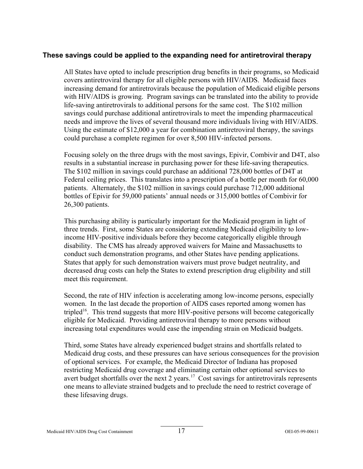## **These savings could be applied to the expanding need for antiretroviral therapy**

All States have opted to include prescription drug benefits in their programs, so Medicaid covers antiretroviral therapy for all eligible persons with HIV/AIDS. Medicaid faces increasing demand for antiretrovirals because the population of Medicaid eligible persons with HIV/AIDS is growing. Program savings can be translated into the ability to provide life-saving antiretrovirals to additional persons for the same cost. The \$102 million savings could purchase additional antiretrovirals to meet the impending pharmaceutical needs and improve the lives of several thousand more individuals living with HIV/AIDS. Using the estimate of \$12,000 a year for combination antiretroviral therapy, the savings could purchase a complete regimen for over 8,500 HIV-infected persons.

Focusing solely on the three drugs with the most savings, Epivir, Combivir and D4T, also results in a substantial increase in purchasing power for these life-saving therapeutics. The \$102 million in savings could purchase an additional 728,000 bottles of D4T at Federal ceiling prices. This translates into a prescription of a bottle per month for 60,000 patients. Alternately, the \$102 million in savings could purchase 712,000 additional bottles of Epivir for 59,000 patients' annual needs or 315,000 bottles of Combivir for 26,300 patients.

This purchasing ability is particularly important for the Medicaid program in light of three trends. First, some States are considering extending Medicaid eligibility to lowincome HIV-positive individuals before they become categorically eligible through disability. The CMS has already approved waivers for Maine and Massachusetts to conduct such demonstration programs, and other States have pending applications. States that apply for such demonstration waivers must prove budget neutrality, and decreased drug costs can help the States to extend prescription drug eligibility and still meet this requirement.

Second, the rate of HIV infection is accelerating among low-income persons, especially women. In the last decade the proportion of AIDS cases reported among women has tripled<sup>16</sup>. This trend suggests that more HIV-positive persons will become categorically eligible for Medicaid. Providing antiretroviral therapy to more persons without increasing total expenditures would ease the impending strain on Medicaid budgets.

Third, some States have already experienced budget strains and shortfalls related to Medicaid drug costs, and these pressures can have serious consequences for the provision of optional services. For example, the Medicaid Director of Indiana has proposed restricting Medicaid drug coverage and eliminating certain other optional services to avert budget shortfalls over the next 2 years.<sup>17</sup> Cost savings for antiretrovirals represents one means to alleviate strained budgets and to preclude the need to restrict coverage of these lifesaving drugs.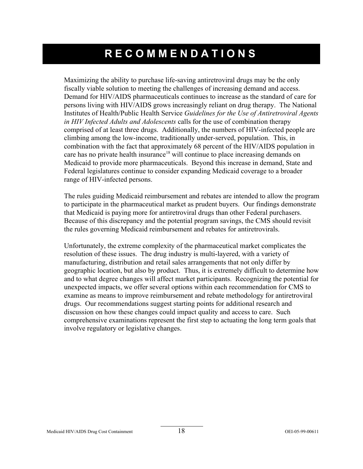# **RECOMMENDATIONS**

Maximizing the ability to purchase life-saving antiretroviral drugs may be the only fiscally viable solution to meeting the challenges of increasing demand and access. Demand for HIV/AIDS pharmaceuticals continues to increase as the standard of care for persons living with HIV/AIDS grows increasingly reliant on drug therapy. The National Institutes of Health/Public Health Service *Guidelines for the Use of Antiretroviral Agents in HIV Infected Adults and Adolescents* calls for the use of combination therapy comprised of at least three drugs. Additionally, the numbers of HIV-infected people are climbing among the low-income, traditionally under-served, population. This, in combination with the fact that approximately 68 percent of the HIV/AIDS population in care has no private health insurance<sup>18</sup> will continue to place increasing demands on Medicaid to provide more pharmaceuticals. Beyond this increase in demand, State and Federal legislatures continue to consider expanding Medicaid coverage to a broader range of HIV-infected persons.

The rules guiding Medicaid reimbursement and rebates are intended to allow the program to participate in the pharmaceutical market as prudent buyers. Our findings demonstrate that Medicaid is paying more for antiretroviral drugs than other Federal purchasers. Because of this discrepancy and the potential program savings, the CMS should revisit the rules governing Medicaid reimbursement and rebates for antiretrovirals.

Unfortunately, the extreme complexity of the pharmaceutical market complicates the resolution of these issues. The drug industry is multi-layered, with a variety of manufacturing, distribution and retail sales arrangements that not only differ by geographic location, but also by product. Thus, it is extremely difficult to determine how and to what degree changes will affect market participants. Recognizing the potential for unexpected impacts, we offer several options within each recommendation for CMS to examine as means to improve reimbursement and rebate methodology for antiretroviral drugs. Our recommendations suggest starting points for additional research and discussion on how these changes could impact quality and access to care. Such comprehensive examinations represent the first step to actuating the long term goals that involve regulatory or legislative changes.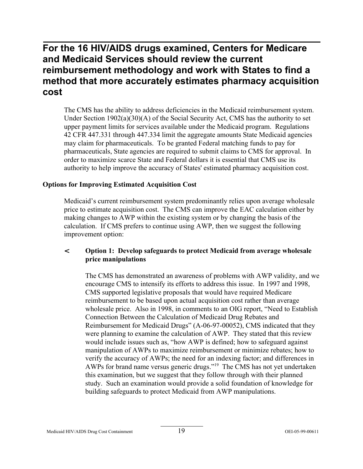## **For the 16 HIV/AIDS drugs examined, Centers for Medicare and Medicaid Services should review the current reimbursement methodology and work with States to find a method that more accurately estimates pharmacy acquisition cost**

The CMS has the ability to address deficiencies in the Medicaid reimbursement system. Under Section  $1902(a)(30)(A)$  of the Social Security Act, CMS has the authority to set upper payment limits for services available under the Medicaid program. Regulations 42 CFR 447.331 through 447.334 limit the aggregate amounts State Medicaid agencies may claim for pharmaceuticals. To be granted Federal matching funds to pay for pharmaceuticals, State agencies are required to submit claims to CMS for approval. In order to maximize scarce State and Federal dollars it is essential that CMS use its authority to help improve the accuracy of States' estimated pharmacy acquisition cost.

### **Options for Improving Estimated Acquisition Cost**

Medicaid's current reimbursement system predominantly relies upon average wholesale price to estimate acquisition cost. The CMS can improve the EAC calculation either by making changes to AWP within the existing system or by changing the basis of the calculation. If CMS prefers to continue using AWP, then we suggest the following improvement option:

## < **Option 1: Develop safeguards to protect Medicaid from average wholesale price manipulations**

The CMS has demonstrated an awareness of problems with AWP validity, and we encourage CMS to intensify its efforts to address this issue. In 1997 and 1998, CMS supported legislative proposals that would have required Medicare reimbursement to be based upon actual acquisition cost rather than average wholesale price. Also in 1998, in comments to an OIG report, "Need to Establish Connection Between the Calculation of Medicaid Drug Rebates and Reimbursement for Medicaid Drugs" (A-06-97-00052), CMS indicated that they were planning to examine the calculation of AWP. They stated that this review would include issues such as, "how AWP is defined; how to safeguard against manipulation of AWPs to maximize reimbursement or minimize rebates; how to verify the accuracy of AWPs; the need for an indexing factor; and differences in AWPs for brand name versus generic drugs."<sup>19</sup> The CMS has not yet undertaken this examination, but we suggest that they follow through with their planned study. Such an examination would provide a solid foundation of knowledge for building safeguards to protect Medicaid from AWP manipulations.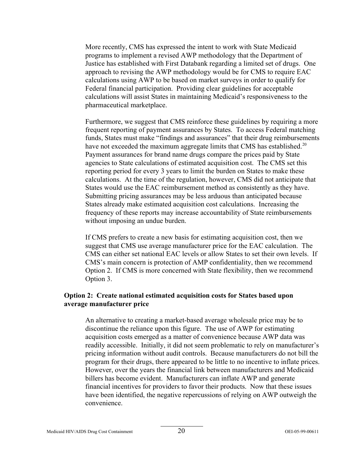More recently, CMS has expressed the intent to work with State Medicaid programs to implement a revised AWP methodology that the Department of Justice has established with First Databank regarding a limited set of drugs. One approach to revising the AWP methodology would be for CMS to require EAC calculations using AWP to be based on market surveys in order to qualify for Federal financial participation. Providing clear guidelines for acceptable calculations will assist States in maintaining Medicaid's responsiveness to the pharmaceutical marketplace.

Furthermore, we suggest that CMS reinforce these guidelines by requiring a more frequent reporting of payment assurances by States. To access Federal matching funds, States must make "findings and assurances" that their drug reimbursements have not exceeded the maximum aggregate limits that CMS has established.<sup>20</sup> Payment assurances for brand name drugs compare the prices paid by State agencies to State calculations of estimated acquisition cost. The CMS set this reporting period for every 3 years to limit the burden on States to make these calculations. At the time of the regulation, however, CMS did not anticipate that States would use the EAC reimbursement method as consistently as they have. Submitting pricing assurances may be less arduous than anticipated because States already make estimated acquisition cost calculations. Increasing the frequency of these reports may increase accountability of State reimbursements without imposing an undue burden.

If CMS prefers to create a new basis for estimating acquisition cost, then we suggest that CMS use average manufacturer price for the EAC calculation. The CMS can either set national EAC levels or allow States to set their own levels. If CMS's main concern is protection of AMP confidentiality, then we recommend Option 2. If CMS is more concerned with State flexibility, then we recommend Option 3.

### **Option 2: Create national estimated acquisition costs for States based upon average manufacturer price**

An alternative to creating a market-based average wholesale price may be to discontinue the reliance upon this figure. The use of AWP for estimating acquisition costs emerged as a matter of convenience because AWP data was readily accessible. Initially, it did not seem problematic to rely on manufacturer's pricing information without audit controls. Because manufacturers do not bill the program for their drugs, there appeared to be little to no incentive to inflate prices. However, over the years the financial link between manufacturers and Medicaid billers has become evident. Manufacturers can inflate AWP and generate financial incentives for providers to favor their products. Now that these issues have been identified, the negative repercussions of relying on AWP outweigh the convenience.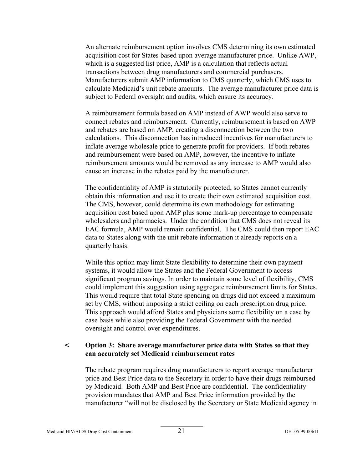An alternate reimbursement option involves CMS determining its own estimated acquisition cost for States based upon average manufacturer price. Unlike AWP, which is a suggested list price, AMP is a calculation that reflects actual transactions between drug manufacturers and commercial purchasers. Manufacturers submit AMP information to CMS quarterly, which CMS uses to calculate Medicaid's unit rebate amounts. The average manufacturer price data is subject to Federal oversight and audits, which ensure its accuracy.

A reimbursement formula based on AMP instead of AWP would also serve to connect rebates and reimbursement. Currently, reimbursement is based on AWP and rebates are based on AMP, creating a disconnection between the two calculations. This disconnection has introduced incentives for manufacturers to inflate average wholesale price to generate profit for providers. If both rebates and reimbursement were based on AMP, however, the incentive to inflate reimbursement amounts would be removed as any increase to AMP would also cause an increase in the rebates paid by the manufacturer.

The confidentiality of AMP is statutorily protected, so States cannot currently obtain this information and use it to create their own estimated acquisition cost. The CMS, however, could determine its own methodology for estimating acquisition cost based upon AMP plus some mark-up percentage to compensate wholesalers and pharmacies. Under the condition that CMS does not reveal its EAC formula, AMP would remain confidential. The CMS could then report EAC data to States along with the unit rebate information it already reports on a quarterly basis.

While this option may limit State flexibility to determine their own payment systems, it would allow the States and the Federal Government to access significant program savings. In order to maintain some level of flexibility, CMS could implement this suggestion using aggregate reimbursement limits for States. This would require that total State spending on drugs did not exceed a maximum set by CMS, without imposing a strict ceiling on each prescription drug price. This approach would afford States and physicians some flexibility on a case by case basis while also providing the Federal Government with the needed oversight and control over expenditures.

## < **Option 3: Share average manufacturer price data with States so that they can accurately set Medicaid reimbursement rates**

The rebate program requires drug manufacturers to report average manufacturer price and Best Price data to the Secretary in order to have their drugs reimbursed by Medicaid. Both AMP and Best Price are confidential. The confidentiality provision mandates that AMP and Best Price information provided by the manufacturer "will not be disclosed by the Secretary or State Medicaid agency in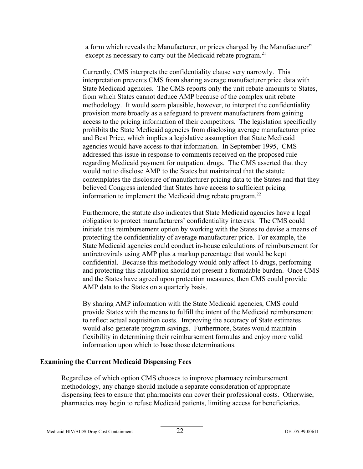a form which reveals the Manufacturer, or prices charged by the Manufacturer" except as necessary to carry out the Medicaid rebate program.<sup>21</sup>

Currently, CMS interprets the confidentiality clause very narrowly. This interpretation prevents CMS from sharing average manufacturer price data with State Medicaid agencies. The CMS reports only the unit rebate amounts to States, from which States cannot deduce AMP because of the complex unit rebate methodology. It would seem plausible, however, to interpret the confidentiality provision more broadly as a safeguard to prevent manufacturers from gaining access to the pricing information of their competitors. The legislation specifically prohibits the State Medicaid agencies from disclosing average manufacturer price and Best Price, which implies a legislative assumption that State Medicaid agencies would have access to that information. In September 1995, CMS addressed this issue in response to comments received on the proposed rule regarding Medicaid payment for outpatient drugs. The CMS asserted that they would not to disclose AMP to the States but maintained that the statute contemplates the disclosure of manufacturer pricing data to the States and that they believed Congress intended that States have access to sufficient pricing information to implement the Medicaid drug rebate program. $^{22}$ 

Furthermore, the statute also indicates that State Medicaid agencies have a legal obligation to protect manufacturers' confidentiality interests. The CMS could initiate this reimbursement option by working with the States to devise a means of protecting the confidentiality of average manufacturer price. For example, the State Medicaid agencies could conduct in-house calculations of reimbursement for antiretrovirals using AMP plus a markup percentage that would be kept confidential. Because this methodology would only affect 16 drugs, performing and protecting this calculation should not present a formidable burden. Once CMS and the States have agreed upon protection measures, then CMS could provide AMP data to the States on a quarterly basis.

By sharing AMP information with the State Medicaid agencies, CMS could provide States with the means to fulfill the intent of the Medicaid reimbursement to reflect actual acquisition costs. Improving the accuracy of State estimates would also generate program savings. Furthermore, States would maintain flexibility in determining their reimbursement formulas and enjoy more valid information upon which to base those determinations.

### **Examining the Current Medicaid Dispensing Fees**

Regardless of which option CMS chooses to improve pharmacy reimbursement methodology, any change should include a separate consideration of appropriate dispensing fees to ensure that pharmacists can cover their professional costs. Otherwise, pharmacies may begin to refuse Medicaid patients, limiting access for beneficiaries.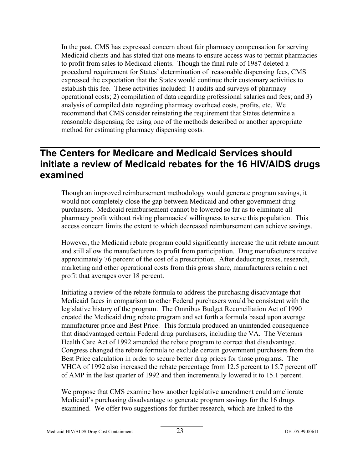In the past, CMS has expressed concern about fair pharmacy compensation for serving Medicaid clients and has stated that one means to ensure access was to permit pharmacies to profit from sales to Medicaid clients. Though the final rule of 1987 deleted a procedural requirement for States' determination of reasonable dispensing fees, CMS expressed the expectation that the States would continue their customary activities to establish this fee. These activities included: 1) audits and surveys of pharmacy operational costs; 2) compilation of data regarding professional salaries and fees; and 3) analysis of compiled data regarding pharmacy overhead costs, profits, etc. We recommend that CMS consider reinstating the requirement that States determine a reasonable dispensing fee using one of the methods described or another appropriate method for estimating pharmacy dispensing costs.

## **The Centers for Medicare and Medicaid Services should initiate a review of Medicaid rebates for the 16 HIV/AIDS drugs examined**

Though an improved reimbursement methodology would generate program savings, it would not completely close the gap between Medicaid and other government drug purchasers. Medicaid reimbursement cannot be lowered so far as to eliminate all pharmacy profit without risking pharmacies' willingness to serve this population. This access concern limits the extent to which decreased reimbursement can achieve savings.

However, the Medicaid rebate program could significantly increase the unit rebate amount and still allow the manufacturers to profit from participation. Drug manufacturers receive approximately 76 percent of the cost of a prescription. After deducting taxes, research, marketing and other operational costs from this gross share, manufacturers retain a net profit that averages over 18 percent.

Initiating a review of the rebate formula to address the purchasing disadvantage that Medicaid faces in comparison to other Federal purchasers would be consistent with the legislative history of the program. The Omnibus Budget Reconciliation Act of 1990 created the Medicaid drug rebate program and set forth a formula based upon average manufacturer price and Best Price. This formula produced an unintended consequence that disadvantaged certain Federal drug purchasers, including the VA. The Veterans Health Care Act of 1992 amended the rebate program to correct that disadvantage. Congress changed the rebate formula to exclude certain government purchasers from the Best Price calculation in order to secure better drug prices for those programs. The VHCA of 1992 also increased the rebate percentage from 12.5 percent to 15.7 percent off of AMP in the last quarter of 1992 and then incrementally lowered it to 15.1 percent.

We propose that CMS examine how another legislative amendment could ameliorate Medicaid's purchasing disadvantage to generate program savings for the 16 drugs examined. We offer two suggestions for further research, which are linked to the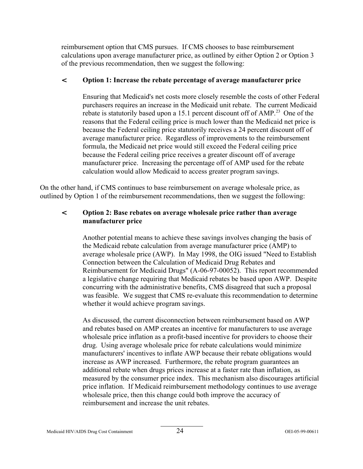reimbursement option that CMS pursues. If CMS chooses to base reimbursement calculations upon average manufacturer price, as outlined by either Option 2 or Option 3 of the previous recommendation, then we suggest the following:

## < **Option 1: Increase the rebate percentage of average manufacturer price**

Ensuring that Medicaid's net costs more closely resemble the costs of other Federal purchasers requires an increase in the Medicaid unit rebate. The current Medicaid rebate is statutorily based upon a 15.1 percent discount off of AMP.<sup>23</sup> One of the reasons that the Federal ceiling price is much lower than the Medicaid net price is because the Federal ceiling price statutorily receives a 24 percent discount off of average manufacturer price. Regardless of improvements to the reimbursement formula, the Medicaid net price would still exceed the Federal ceiling price because the Federal ceiling price receives a greater discount off of average manufacturer price. Increasing the percentage off of AMP used for the rebate calculation would allow Medicaid to access greater program savings.

On the other hand, if CMS continues to base reimbursement on average wholesale price, as outlined by Option 1 of the reimbursement recommendations, then we suggest the following:

## < **Option 2: Base rebates on average wholesale price rather than average manufacturer price**

Another potential means to achieve these savings involves changing the basis of the Medicaid rebate calculation from average manufacturer price (AMP) to average wholesale price (AWP). In May 1998, the OIG issued "Need to Establish Connection between the Calculation of Medicaid Drug Rebates and Reimbursement for Medicaid Drugs" (A-06-97-00052). This report recommended a legislative change requiring that Medicaid rebates be based upon AWP. Despite concurring with the administrative benefits, CMS disagreed that such a proposal was feasible. We suggest that CMS re-evaluate this recommendation to determine whether it would achieve program savings.

As discussed, the current disconnection between reimbursement based on AWP and rebates based on AMP creates an incentive for manufacturers to use average wholesale price inflation as a profit-based incentive for providers to choose their drug. Using average wholesale price for rebate calculations would minimize manufacturers' incentives to inflate AWP because their rebate obligations would increase as AWP increased. Furthermore, the rebate program guarantees an additional rebate when drugs prices increase at a faster rate than inflation, as measured by the consumer price index. This mechanism also discourages artificial price inflation. If Medicaid reimbursement methodology continues to use average wholesale price, then this change could both improve the accuracy of reimbursement and increase the unit rebates.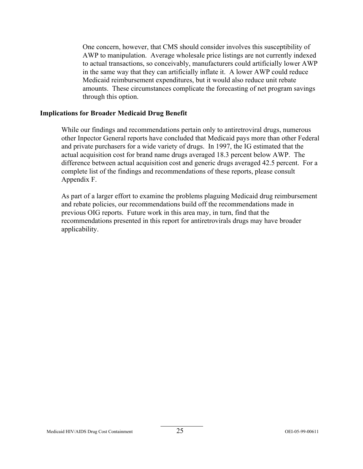One concern, however, that CMS should consider involves this susceptibility of AWP to manipulation. Average wholesale price listings are not currently indexed to actual transactions, so conceivably, manufacturers could artificially lower AWP in the same way that they can artificially inflate it. A lower AWP could reduce Medicaid reimbursement expenditures, but it would also reduce unit rebate amounts. These circumstances complicate the forecasting of net program savings through this option.

#### **Implications for Broader Medicaid Drug Benefit**

While our findings and recommendations pertain only to antiretroviral drugs, numerous other Inpector General reports have concluded that Medicaid pays more than other Federal and private purchasers for a wide variety of drugs. In 1997, the IG estimated that the actual acquisition cost for brand name drugs averaged 18.3 percent below AWP. The difference between actual acquisition cost and generic drugs averaged 42.5 percent. For a complete list of the findings and recommendations of these reports, please consult Appendix F.

As part of a larger effort to examine the problems plaguing Medicaid drug reimbursement and rebate policies, our recommendations build off the recommendations made in previous OIG reports. Future work in this area may, in turn, find that the recommendations presented in this report for antiretrovirals drugs may have broader applicability.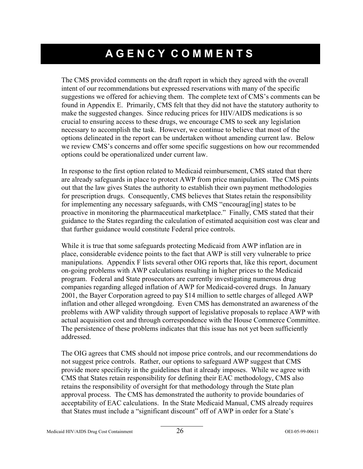# **AGENCY COMMENTS**

The CMS provided comments on the draft report in which they agreed with the overall intent of our recommendations but expressed reservations with many of the specific suggestions we offered for achieving them. The complete text of CMS's comments can be found in Appendix E. Primarily, CMS felt that they did not have the statutory authority to make the suggested changes. Since reducing prices for HIV/AIDS medications is so crucial to ensuring access to these drugs, we encourage CMS to seek any legislation necessary to accomplish the task. However, we continue to believe that most of the options delineated in the report can be undertaken without amending current law. Below we review CMS's concerns and offer some specific suggestions on how our recommended options could be operationalized under current law.

In response to the first option related to Medicaid reimbursement, CMS stated that there are already safeguards in place to protect AWP from price manipulation. The CMS points out that the law gives States the authority to establish their own payment methodologies for prescription drugs. Consequently, CMS believes that States retain the responsibility for implementing any necessary safeguards, with CMS "encourag[ing] states to be proactive in monitoring the pharmaceutical marketplace." Finally, CMS stated that their guidance to the States regarding the calculation of estimated acquisition cost was clear and that further guidance would constitute Federal price controls.

While it is true that some safeguards protecting Medicaid from AWP inflation are in place, considerable evidence points to the fact that AWP is still very vulnerable to price manipulations. Appendix F lists several other OIG reports that, like this report, document on-going problems with AWP calculations resulting in higher prices to the Medicaid program. Federal and State prosecutors are currently investigating numerous drug companies regarding alleged inflation of AWP for Medicaid-covered drugs. In January 2001, the Bayer Corporation agreed to pay \$14 million to settle charges of alleged AWP inflation and other alleged wrongdoing. Even CMS has demonstrated an awareness of the problems with AWP validity through support of legislative proposals to replace AWP with actual acquisition cost and through correspondence with the House Commerce Committee. The persistence of these problems indicates that this issue has not yet been sufficiently addressed.

The OIG agrees that CMS should not impose price controls, and our recommendations do not suggest price controls. Rather, our options to safeguard AWP suggest that CMS provide more specificity in the guidelines that it already imposes. While we agree with CMS that States retain responsibility for defining their EAC methodology, CMS also retains the responsibility of oversight for that methodology through the State plan approval process. The CMS has demonstrated the authority to provide boundaries of acceptability of EAC calculations. In the State Medicaid Manual, CMS already requires that States must include a "significant discount" off of AWP in order for a State's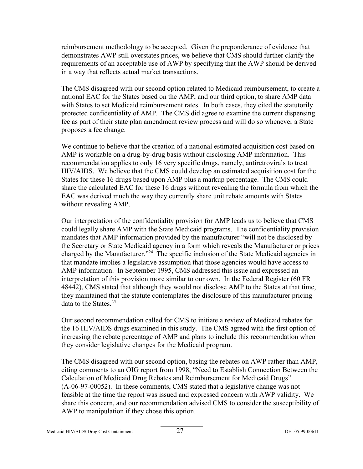reimbursement methodology to be accepted. Given the preponderance of evidence that demonstrates AWP still overstates prices, we believe that CMS should further clarify the requirements of an acceptable use of AWP by specifying that the AWP should be derived in a way that reflects actual market transactions.

The CMS disagreed with our second option related to Medicaid reimbursement, to create a national EAC for the States based on the AMP, and our third option, to share AMP data with States to set Medicaid reimbursement rates. In both cases, they cited the statutorily protected confidentiality of AMP. The CMS did agree to examine the current dispensing fee as part of their state plan amendment review process and will do so whenever a State proposes a fee change.

We continue to believe that the creation of a national estimated acquisition cost based on AMP is workable on a drug-by-drug basis without disclosing AMP information. This recommendation applies to only 16 very specific drugs, namely, antiretrovirals to treat HIV/AIDS. We believe that the CMS could develop an estimated acquisition cost for the States for these 16 drugs based upon AMP plus a markup percentage. The CMS could share the calculated EAC for these 16 drugs without revealing the formula from which the EAC was derived much the way they currently share unit rebate amounts with States without revealing AMP.

Our interpretation of the confidentiality provision for AMP leads us to believe that CMS could legally share AMP with the State Medicaid programs. The confidentiality provision mandates that AMP information provided by the manufacturer "will not be disclosed by the Secretary or State Medicaid agency in a form which reveals the Manufacturer or prices charged by the Manufacturer."<sup>24</sup> The specific inclusion of the State Medicaid agencies in that mandate implies a legislative assumption that those agencies would have access to AMP information. In September 1995, CMS addressed this issue and expressed an interpretation of this provision more similar to our own. In the Federal Register (60 FR 48442), CMS stated that although they would not disclose AMP to the States at that time, they maintained that the statute contemplates the disclosure of this manufacturer pricing data to the States. $25$ 

Our second recommendation called for CMS to initiate a review of Medicaid rebates for the 16 HIV/AIDS drugs examined in this study. The CMS agreed with the first option of increasing the rebate percentage of AMP and plans to include this recommendation when they consider legislative changes for the Medicaid program.

The CMS disagreed with our second option, basing the rebates on AWP rather than AMP, citing comments to an OIG report from 1998, "Need to Establish Connection Between the Calculation of Medicaid Drug Rebates and Reimbursement for Medicaid Drugs" (A-06-97-00052). In these comments, CMS stated that a legislative change was not feasible at the time the report was issued and expressed concern with AWP validity. We share this concern, and our recommendation advised CMS to consider the susceptibility of AWP to manipulation if they chose this option.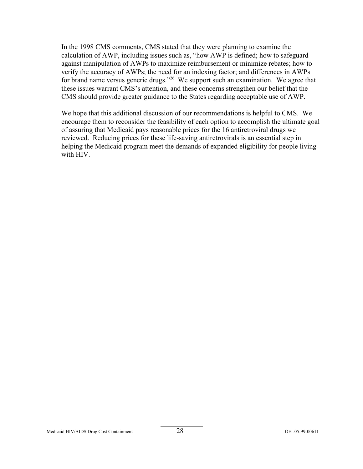In the 1998 CMS comments, CMS stated that they were planning to examine the calculation of AWP, including issues such as, "how AWP is defined; how to safeguard against manipulation of AWPs to maximize reimbursement or minimize rebates; how to verify the accuracy of AWPs; the need for an indexing factor; and differences in AWPs for brand name versus generic drugs."<sup>26</sup> We support such an examination. We agree that these issues warrant CMS's attention, and these concerns strengthen our belief that the CMS should provide greater guidance to the States regarding acceptable use of AWP.

We hope that this additional discussion of our recommendations is helpful to CMS. We encourage them to reconsider the feasibility of each option to accomplish the ultimate goal of assuring that Medicaid pays reasonable prices for the 16 antiretroviral drugs we reviewed. Reducing prices for these life-saving antiretrovirals is an essential step in helping the Medicaid program meet the demands of expanded eligibility for people living with HIV.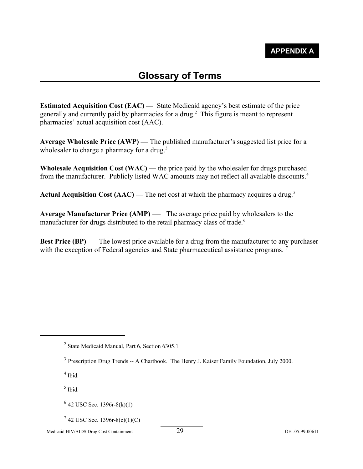## **Glossary of Terms**

**Estimated Acquisition Cost (EAC) —** State Medicaid agency's best estimate of the price generally and currently paid by pharmacies for a drug.2 This figure is meant to represent pharmacies' actual acquisition cost (AAC).

**Average Wholesale Price (AWP) —** The published manufacturer's suggested list price for a wholesaler to charge a pharmacy for a drug.<sup>3</sup>

**Wholesale Acquisition Cost (WAC) —** the price paid by the wholesaler for drugs purchased from the manufacturer. Publicly listed WAC amounts may not reflect all available discounts.<sup>4</sup>

**Actual Acquisition Cost (AAC) — The net cost at which the pharmacy acquires a drug.<sup>5</sup>** 

**Average Manufacturer Price (AMP) —** The average price paid by wholesalers to the manufacturer for drugs distributed to the retail pharmacy class of trade.<sup>6</sup>

**Best Price (BP)** — The lowest price available for a drug from the manufacturer to any purchaser with the exception of Federal agencies and State pharmaceutical assistance programs.

<sup>2</sup> State Medicaid Manual, Part 6, Section 6305.1

 $<sup>4</sup>$  Ibid.</sup>

 $<sup>5</sup>$  Ibid.</sup>

Medicaid HIV/AIDS Drug Cost Containment 29 OEI-05-99-00611

<sup>&</sup>lt;sup>3</sup> Prescription Drug Trends -- A Chartbook. The Henry J. Kaiser Family Foundation, July 2000.

 $6$  42 USC Sec. 1396r-8(k)(1)

 $7$  42 USC Sec. 1396r-8(c)(1)(C)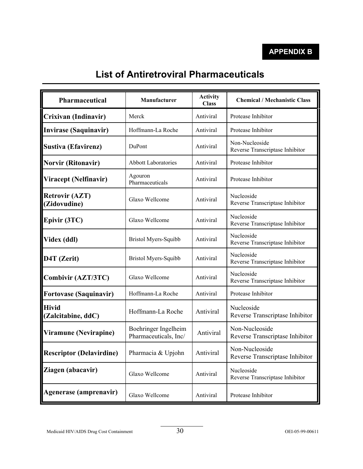# **List of Antiretroviral Pharmaceuticals**

| Pharmaceutical                        | Manufacturer                                  | <b>Activity</b><br><b>Class</b> | <b>Chemical / Mechanistic Class</b>               |  |
|---------------------------------------|-----------------------------------------------|---------------------------------|---------------------------------------------------|--|
| Crixivan (Indinavir)                  | Merck                                         | Antiviral                       | Protease Inhibitor                                |  |
| <b>Invirase (Saquinavir)</b>          | Hoffmann-La Roche                             | Antiviral                       | Protease Inhibitor                                |  |
| <b>Sustiva (Efavirenz)</b>            | DuPont                                        | Antiviral                       | Non-Nucleoside<br>Reverse Transcriptase Inhibitor |  |
| <b>Norvir (Ritonavir)</b>             | <b>Abbott Laboratories</b>                    | Antiviral                       | Protease Inhibitor                                |  |
| Viracept (Nelfinavir)                 | Agouron<br>Pharmaceuticals                    | Antiviral                       | Protease Inhibitor                                |  |
| <b>Retrovir (AZT)</b><br>(Zidovudine) | Glaxo Wellcome                                | Antiviral                       | Nucleoside<br>Reverse Transcriptase Inhibitor     |  |
| Epivir (3TC)                          | Glaxo Wellcome                                | Antiviral                       | Nucleoside<br>Reverse Transcriptase Inhibitor     |  |
| Videx (ddl)                           | Bristol Myers-Squibb                          | Antiviral                       | Nucleoside<br>Reverse Transcriptase Inhibitor     |  |
| D4T (Zerit)                           | <b>Bristol Myers-Squibb</b>                   | Antiviral                       | Nucleoside<br>Reverse Transcriptase Inhibitor     |  |
| Combivir (AZT/3TC)                    | Glaxo Wellcome                                | Antiviral                       | Nucleoside<br>Reverse Transcriptase Inhibitor     |  |
| <b>Fortovase (Saquinavir)</b>         | Hoffmann-La Roche                             | Antiviral                       | Protease Inhibitor                                |  |
| <b>Hivid</b><br>(Zalcitabine, ddC)    | Hoffmann-La Roche                             | Antiviral                       | Nucleoside<br>Reverse Transcriptase Inhibitor     |  |
| Viramune (Nevirapine)                 | Boehringer Ingelheim<br>Pharmaceuticals, Inc/ | Antiviral                       | Non-Nucleoside<br>Reverse Transcriptase Inhibitor |  |
| <b>Rescriptor (Delavirdine)</b>       | Pharmacia & Upjohn                            | Antiviral                       | Non-Nucleoside<br>Reverse Transcriptase Inhibitor |  |
| Ziagen (abacavir)                     | Glaxo Wellcome                                | Antiviral                       | Nucleoside<br>Reverse Transcriptase Inhibitor     |  |
| Agenerase (amprenavir)                | Glaxo Wellcome                                | Antiviral                       | Protease Inhibitor                                |  |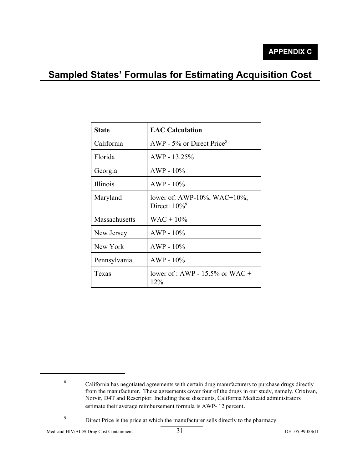## **Sampled States' Formulas for Estimating Acquisition Cost**

| <b>State</b>    | <b>EAC Calculation</b>                                     |
|-----------------|------------------------------------------------------------|
| California      | AWP - $5\%$ or Direct Price <sup>8</sup>                   |
| Florida         | $AWP - 13.25%$                                             |
| Georgia         | $AWP - 10\%$                                               |
| <i>Illinois</i> | $AWP - 10\%$                                               |
| Maryland        | lower of: AWP-10%, WAC+10%,<br>Direct+ $10\%$ <sup>9</sup> |
| Massachusetts   | $WAC + 10\%$                                               |
| New Jersey      | $AWP - 10\%$                                               |
| New York        | $AWP - 10\%$                                               |
| Pennsylvania    | $AWP - 10\%$                                               |
| Texas           | lower of : AWP - $15.5\%$ or WAC +<br>12%                  |

Medicaid HIV/AIDS Drug Cost Containment 31 OEI-05-99-00611

<sup>&</sup>lt;sup>8</sup> California has negotiated agreements with certain drug manufacturers to purchase drugs directly from the manufacturer. These agreements cover four of the drugs in our study, namely, Crixivan, Norvir, D4T and Rescriptor. Including these discounts, California Medicaid administrators estimate their average reimbursement formula is AWP- 12 percent.

<sup>&</sup>lt;sup>9</sup> Direct Price is the price at which the manufacturer sells directly to the pharmacy.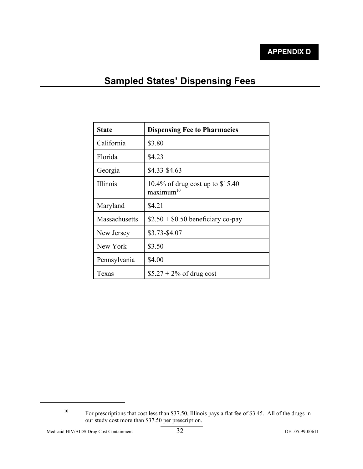## **Sampled States' Dispensing Fees**

| <b>State</b>  | <b>Dispensing Fee to Pharmacies</b>                       |  |  |
|---------------|-----------------------------------------------------------|--|--|
| California    | \$3.80                                                    |  |  |
| Florida       | \$4.23                                                    |  |  |
| Georgia       | \$4.33-\$4.63                                             |  |  |
| Illinois      | 10.4% of drug cost up to \$15.40<br>maximum <sup>10</sup> |  |  |
| Maryland      | \$4.21                                                    |  |  |
| Massachusetts | $$2.50 + $0.50$ beneficiary co-pay                        |  |  |
| New Jersey    | \$3.73-\$4.07                                             |  |  |
| New York      | \$3.50                                                    |  |  |
| Pennsylvania  | \$4.00                                                    |  |  |
| Texas         | $$5.27 + 2\%$ of drug cost                                |  |  |

<sup>&</sup>lt;sup>10</sup> For prescriptions that cost less than \$37.50, Illinois pays a flat fee of \$3.45. All of the drugs in our study cost more than \$37.50 per prescription.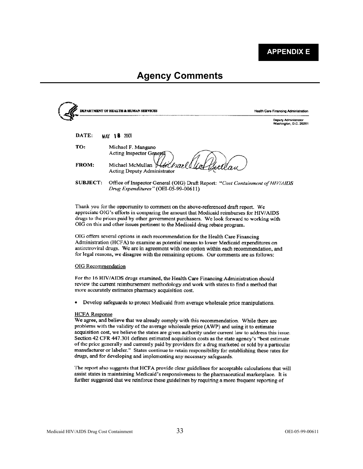**APPENDIX E** 

## **Agency Comments**

|              | <b>DEPARTMENT OF HEALTH &amp; HUMAN SERVICES</b>                              | Health Care Financing Administration                  |
|--------------|-------------------------------------------------------------------------------|-------------------------------------------------------|
|              |                                                                               | <b>Deputy Administrator</b><br>Washington, D.C. 20201 |
| DATE:        | 2001<br>18<br><b>MAY</b>                                                      |                                                       |
| TO:          | Michael F. Mangano<br>Acting Inspector General                                |                                                       |
| <b>FROM:</b> | Michael McMullan Hotchrael Uch GetClau<br><b>Acting Deputy Administrator</b>  |                                                       |
| SUBJECT:     | Office of Inspector General (OIG) Draft Report: "Cost Containment of HIV/AIDS |                                                       |

'Cost Containment of HIV/AIDS Drug Expenditures" (OEI-05-99-00611)

Thank you for the opportunity to comment on the above-referenced draft report. We appreciate OIG's efforts in comparing the amount that Medicaid reimburses for HIV/AIDS drugs to the prices paid by other government purchasers. We look forward to working with OIG on this and other issues pertinent to the Medicaid drug rebate program.

OIG offers several options in each recommendation for the Health Care Financing Administration (HCFA) to examine as potential means to lower Medicaid expenditures on antiretroviral drugs. We are in agreement with one option within each recommendation, and for legal reasons, we disagree with the remaining options. Our comments are as follows:

#### **OIG** Recommendation

For the 16 HIV/AIDS drugs examined, the Health Care Financing Administration should review the current reimbursement methodology and work with states to find a method that more accurately estimates pharmacy acquisition cost.

Develop safeguards to protect Medicaid from average wholesale price manipulations.  $\bullet$ 

#### **HCFA** Response

We agree, and believe that we already comply with this recommendation. While there are problems with the validity of the average wholesale price (AWP) and using it to estimate acquisition cost, we believe the states are given authority under current law to address this issue. Section 42 CFR 447.301 defines estimated acquisition costs as the state agency's "best estimate of the price generally and currently paid by providers for a drug marketed or sold by a particular manufacturer or labeler." States continue to retain responsibility for establishing these rates for drugs, and for developing and implementing any necessary safeguards.

The report also suggests that HCFA provide clear guidelines for acceptable calculations that will assist states in maintaining Medicaid's responsiveness to the pharmaceutical marketplace. It is further suggested that we reinforce these guidelines by requiring a more frequent reporting of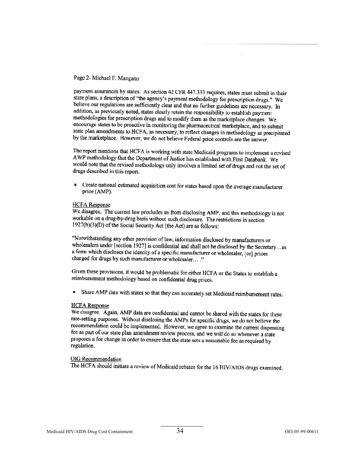#### Page 2- Michael F. Mangano

payment assurances by states. As section 42 CFR 447.333 requires, states must submit in their state plans, a description of "the agency's payment methodology for prescription drugs." We believe our regulations are sufficiently clear and that no further guidelines are necessary. In addition, as previously noted, states clearly retain the responsibility to establish payment methodologies for prescription drugs and to modify them as the marketplace changes. We encourage states to be proactive in monitoring the pharmaceutical marketplace, and to submit state plan amendments to HCFA, as necessary, to reflect changes in methodology as precipitated by the marketplace. However, we do not believe Federal price controls are the answer.

The report mentions that HCFA is working with state Medicaid programs to implement a revised AWP methodology that the Department of Justice has established with First Databank. We would note that the revised methodology only involves a limited set of drugs and not the set of drugs described in this report.

• Create national estimated acquisition cost for states based upon the average manufacturer price (AMP).

#### **HCFA** Response

We disagree. The current law precludes us from disclosing AMP, and this methodology is not workable on a drug-by-drug basis without such disclosure. The restrictions in section  $1927(b)(3)(D)$  of the Social Security Act (the Act) are as follows:

"Notwithstanding any other provision of law, information disclosed by manufacturers or wholesalers under [section 1927] is confidential and shall not be disclosed by the Secretary...in a form which discloses the identity of a specific manufacturer or wholesaler, [or] prices charged for drugs by such manufacturer or wholesaler...."

Given these provisions, it would be problematic for either HCFA or the States to establish a reimbursement methodology based on confidential drug prices.

Share AMP data with states so that they can accurately set Medicaid reimbursement rates.

#### **HCFA** Response

We disagree. Again, AMP data are confidential and cannot be shared with the states for these rate-setting purposes. Without disclosing the AMPs for specific drugs, we do not believe the recommendation could be implemented. However, we agree to examine the current dispensing fee as part of our state plan amendment review process, and we will do so whenever a state proposes a fee change in order to ensure that the state sets a reasonable fee as required by regulation.

#### **OIG** Recommendation

The HCFA should initiate a review of Medicaid rebates for the 16 HIV/AIDS drugs examined.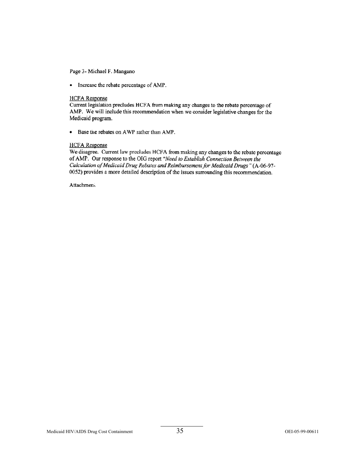Page 3- Michael F. Mangano

• Increase the rebate percentage of AMP.

#### **HCFA** Response

Current legislation precludes HCFA from making any changes to the rebate percentage of AMP. We will include this recommendation when we consider legislative changes for the Medicaid program.

Base the rebates on AWP rather than AMP.  $\bullet$ 

#### **HCFA** Response

We disagree. Current law precludes HCFA from making any changes to the rebate percentage of AMP. Our response to the OIG report "Need to Establish Connection Between the Calculation of Medicaid Drug Rebates and Reimbursement for Medicaid Drugs" (A-06-97-0052) provides a more detailed description of the issues surrounding this recommendation.

Attachmeni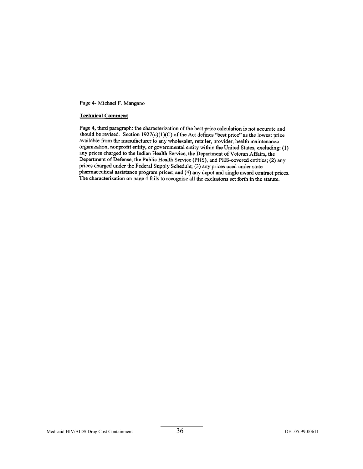Page 4- Michael F. Mangano

#### **Technical Comment**

Page 4, third paragraph: the characterization of the best price calculation is not accurate and should be revised. Section  $1927(c)(1)(C)$  of the Act defines "best price" as the lowest price available from the manufacturer to any wholesaler, retailer, provider, health maintenance organization, nonprofit entity, or governmental entity within the United States, excluding: (1) any prices charged to the Indian Health Service, the Department of Veteran Affairs, the Department of Defense, the Public Health Service (PHS), and PHS-covered entities; (2) any prices charged under the Federal Supply Schedule; (3) any prices used under state pharmaceutical assistance program prices; and (4) any depot and single award contract prices. The characterization on page 4 fails to recognize all the exclusions set forth in the statute.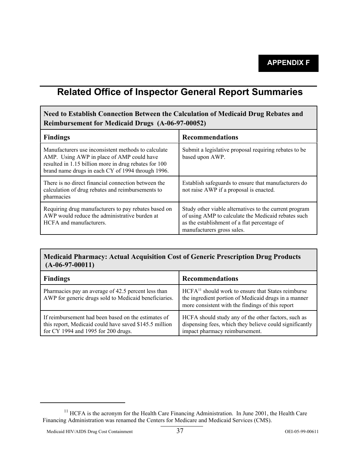## **Related Office of Inspector General Report Summaries**

## **Need to Establish Connection Between the Calculation of Medicaid Drug Rebates and Reimbursement for Medicaid Drugs (A-06-97-00052)**

| <b>Findings</b>                                                                                                                                                                                                | <b>Recommendations</b>                                                                                                                                                                      |
|----------------------------------------------------------------------------------------------------------------------------------------------------------------------------------------------------------------|---------------------------------------------------------------------------------------------------------------------------------------------------------------------------------------------|
| Manufacturers use inconsistent methods to calculate<br>AMP. Using AWP in place of AMP could have<br>resulted in 1.15 billion more in drug rebates for 100<br>brand name drugs in each CY of 1994 through 1996. | Submit a legislative proposal requiring rebates to be<br>based upon AWP.                                                                                                                    |
| There is no direct financial connection between the<br>calculation of drug rebates and reimbursements to<br>pharmacies                                                                                         | Establish safeguards to ensure that manufacturers do<br>not raise AWP if a proposal is enacted.                                                                                             |
| Requiring drug manufacturers to pay rebates based on<br>AWP would reduce the administrative burden at<br>HCFA and manufacturers.                                                                               | Study other viable alternatives to the current program<br>of using AMP to calculate the Medicaid rebates such<br>as the establishment of a flat percentage of<br>manufacturers gross sales. |

## **Medicaid Pharmacy: Actual Acquisition Cost of Generic Prescription Drug Products (A-06-97-00011)**

| <b>Findings</b>                                                                                                                                      | <b>Recommendations</b>                                                                                                                                                     |
|------------------------------------------------------------------------------------------------------------------------------------------------------|----------------------------------------------------------------------------------------------------------------------------------------------------------------------------|
| Pharmacies pay an average of 42.5 percent less than<br>AWP for generic drugs sold to Medicaid beneficiaries.                                         | HCFA <sup>11</sup> should work to ensure that States reimburse<br>the ingredient portion of Medicaid drugs in a manner<br>more consistent with the findings of this report |
| If reimbursement had been based on the estimates of<br>this report, Medicaid could have saved \$145.5 million<br>for CY 1994 and 1995 for 200 drugs. | HCFA should study any of the other factors, such as<br>dispensing fees, which they believe could significantly<br>impact pharmacy reimbursement.                           |

<sup>&</sup>lt;sup>11</sup> HCFA is the acronym for the Health Care Financing Administration. In June 2001, the Health Care Financing Administration was renamed the Centers for Medicare and Medicaid Services (CMS).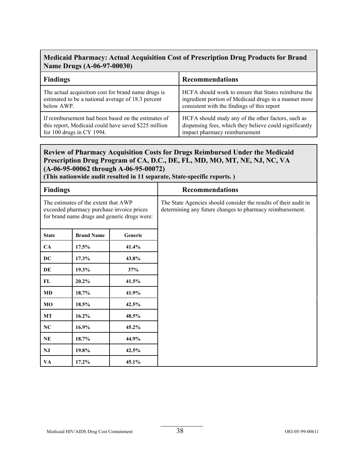## **Medicaid Pharmacy: Actual Acquisition Cost of Prescription Drug Products for Brand Name Drugs (A-06-97-00030)**

| <b>Findings</b>                                      | <b>Recommendations</b>                                  |
|------------------------------------------------------|---------------------------------------------------------|
| The actual acquisition cost for brand name drugs is  | HCFA should work to ensure that States reimburse the    |
| estimated to be a national average of 18.3 percent   | ingredient portion of Medicaid drugs in a manner more   |
| below AWP.                                           | consistent with the findings of this report             |
| If reimbursement had been based on the estimates of  | HCFA should study any of the other factors, such as     |
| this report, Medicaid could have saved \$225 million | dispensing fees, which they believe could significantly |
| for $100$ drugs in CY 1994.                          | impact pharmacy reimbursement                           |

## **Review of Pharmacy Acquisition Costs for Drugs Reimbursed Under the Medicaid Prescription Drug Program of CA, D.C., DE, FL, MD, MO, MT, NE, NJ, NC, VA (A-06-95-00062 through A-06-95-00072)**

**(This nationwide audit resulted in 11 separate, State-specific reports. )** 

| <b>Findings</b>                                                                                                                   |                   |          | <b>Recommendations</b>                                                                                                        |
|-----------------------------------------------------------------------------------------------------------------------------------|-------------------|----------|-------------------------------------------------------------------------------------------------------------------------------|
| The estimates of the extent that AWP<br>exceeded pharmacy purchase invoice prices<br>for brand name drugs and generic drugs were: |                   |          | The State Agencies should consider the results of their audit in<br>determining any future changes to pharmacy reimbursement. |
| <b>State</b>                                                                                                                      | <b>Brand Name</b> | Generic  |                                                                                                                               |
| <b>CA</b>                                                                                                                         | 17.5%             | 41.4%    |                                                                                                                               |
| DC                                                                                                                                | 17.3%             | 43.8%    |                                                                                                                               |
| DE                                                                                                                                | 19.3%             | 37%      |                                                                                                                               |
| FL                                                                                                                                | 20.2%             | 41.5%    |                                                                                                                               |
| <b>MD</b>                                                                                                                         | 18.7%             | 41.9%    |                                                                                                                               |
| MO                                                                                                                                | 18.5%             | 42.5%    |                                                                                                                               |
| <b>MT</b>                                                                                                                         | 16.2%             | 48.5%    |                                                                                                                               |
| NC                                                                                                                                | 16.9%             | $45.2\%$ |                                                                                                                               |
| NE                                                                                                                                | 18.7%             | 44.9%    |                                                                                                                               |
| <b>NJ</b>                                                                                                                         | 19.8%             | 42.5%    |                                                                                                                               |
| VA                                                                                                                                | 17.2%             | 45.1%    |                                                                                                                               |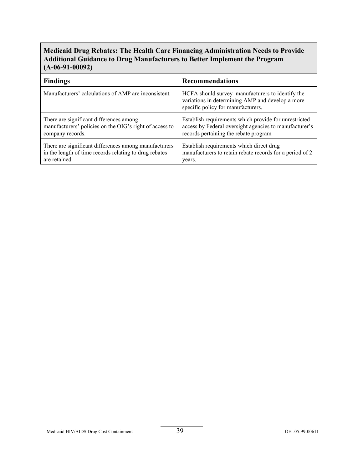## **Medicaid Drug Rebates: The Health Care Financing Administration Needs to Provide Additional Guidance to Drug Manufacturers to Better Implement the Program (A-06-91-00092)**

| <b>Findings</b>                                         | <b>Recommendations</b>                                                                                                                     |
|---------------------------------------------------------|--------------------------------------------------------------------------------------------------------------------------------------------|
| Manufacturers' calculations of AMP are inconsistent.    | HCFA should survey manufacturers to identify the<br>variations in determining AMP and develop a more<br>specific policy for manufacturers. |
| There are significant differences among                 | Establish requirements which provide for unrestricted                                                                                      |
| manufacturers' policies on the OIG's right of access to | access by Federal oversight agencies to manufacturer's                                                                                     |
| company records.                                        | records pertaining the rebate program                                                                                                      |
| There are significant differences among manufacturers   | Establish requirements which direct drug                                                                                                   |
| in the length of time records relating to drug rebates  | manufacturers to retain rebate records for a period of 2                                                                                   |
| are retained.                                           | years.                                                                                                                                     |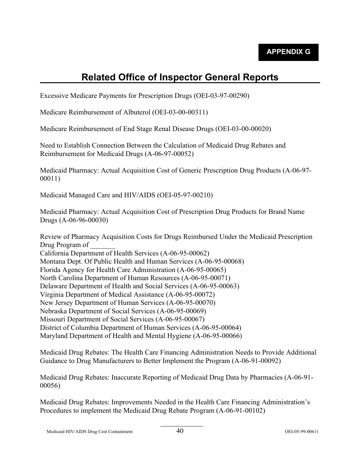# **Related Office of Inspector General Reports**

Excessive Medicare Payments for Prescription Drugs (OEI-03-97-00290)

Medicare Reimbursement of Albuterol (OEI-03-00-00311)

Medicare Reimbursement of End Stage Renal Disease Drugs (OEI-03-00-00020)

Need to Establish Connection Between the Calculation of Medicaid Drug Rebates and Reimbursement for Medicaid Drugs (A-06-97-00052)

Medicaid Pharmacy: Actual Acquisition Cost of Generic Prescription Drug Products (A-06-97- 00011)

Medicaid Managed Care and HIV/AIDS (OEI-05-97-00210)

Medicaid Pharmacy: Actual Acquisition Cost of Prescription Drug Products for Brand Name Drugs (A-06-96-00030)

Review of Pharmacy Acquisition Costs for Drugs Reimbursed Under the Medicaid Prescription Drug Program of California Department of Health Services (A-06-95-00062) Montana Dept. Of Public Health and Human Services (A-06-95-00068) Florida Agency for Health Care Administration (A-06-95-00065) North Carolina Department of Human Resources (A-06-95-00071) Delaware Department of Health and Social Services (A-06-95-00063) Virginia Department of Medical Assistance (A-06-95-00072) New Jersey Department of Human Services (A-06-95-00070) Nebraska Department of Social Services (A-06-95-00069) Missouri Department of Social Services (A-06-95-00067) District of Columbia Department of Human Services (A-06-95-00064) Maryland Department of Health and Mental Hygiene (A-06-95-00066)

Medicaid Drug Rebates: The Health Care Financing Administration Needs to Provide Additional Guidance to Drug Manufacturers to Better Implement the Program (A-06-91-00092)

Medicaid Drug Rebates: Inaccurate Reporting of Medicaid Drug Data by Pharmacies (A-06-91- 00056)

Medicaid Drug Rebates: Improvements Needed in the Health Care Financing Administration's Procedures to implement the Medicaid Drug Rebate Program (A-06-91-00102)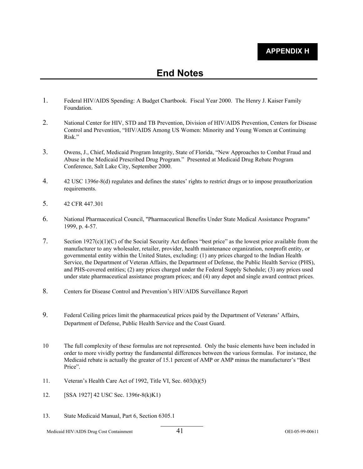- 1. Federal HIV/AIDS Spending: A Budget Chartbook. Fiscal Year 2000. The Henry J. Kaiser Family Foundation.
- 2. National Center for HIV, STD and TB Prevention, Division of HIV/AIDS Prevention, Centers for Disease Control and Prevention, "HIV/AIDS Among US Women: Minority and Young Women at Continuing Risk."
- 3. Owens, J., Chief, Medicaid Program Integrity, State of Florida, "New Approaches to Combat Fraud and Abuse in the Medicaid Prescribed Drug Program." Presented at Medicaid Drug Rebate Program Conference, Salt Lake City, September 2000.
- 4. 42 USC 1396r-8(d) regulates and defines the states' rights to restrict drugs or to impose preauthorization requirements.
- 5. 42 CFR 447.301
- 6. National Pharmaceutical Council, "Pharmaceutical Benefits Under State Medical Assistance Programs" 1999, p. 4-57.
- 7. Section 1927(c)(1)(C) of the Social Security Act defines "best price" as the lowest price available from the manufacturer to any wholesaler, retailer, provider, health maintenance organization, nonprofit entity, or governmental entity within the United States, excluding: (1) any prices charged to the Indian Health Service, the Department of Veteran Affairs, the Department of Defense, the Public Health Service (PHS), and PHS-covered entities; (2) any prices charged under the Federal Supply Schedule; (3) any prices used under state pharmaceutical assistance program prices; and (4) any depot and single award contract prices.
- 8. Centers for Disease Control and Prevention's HIV/AIDS Surveillance Report
- 9. Federal Ceiling prices limit the pharmaceutical prices paid by the Department of Veterans' Affairs, Department of Defense, Public Health Service and the Coast Guard.
- The full complexity of these formulas are not represented. Only the basic elements have been included in order to more vividly portray the fundamental differences between the various formulas. For instance, the Medicaid rebate is actually the greater of 15.1 percent of AMP or AMP minus the manufacturer's "Best Price". 10
- 11. Veteran's Health Care Act of 1992, Title VI, Sec. 603(h)(5)
- 12. [SSA 1927] 42 USC Sec. 1396r-8(k)K1)
- 13. State Medicaid Manual, Part 6, Section 6305.1